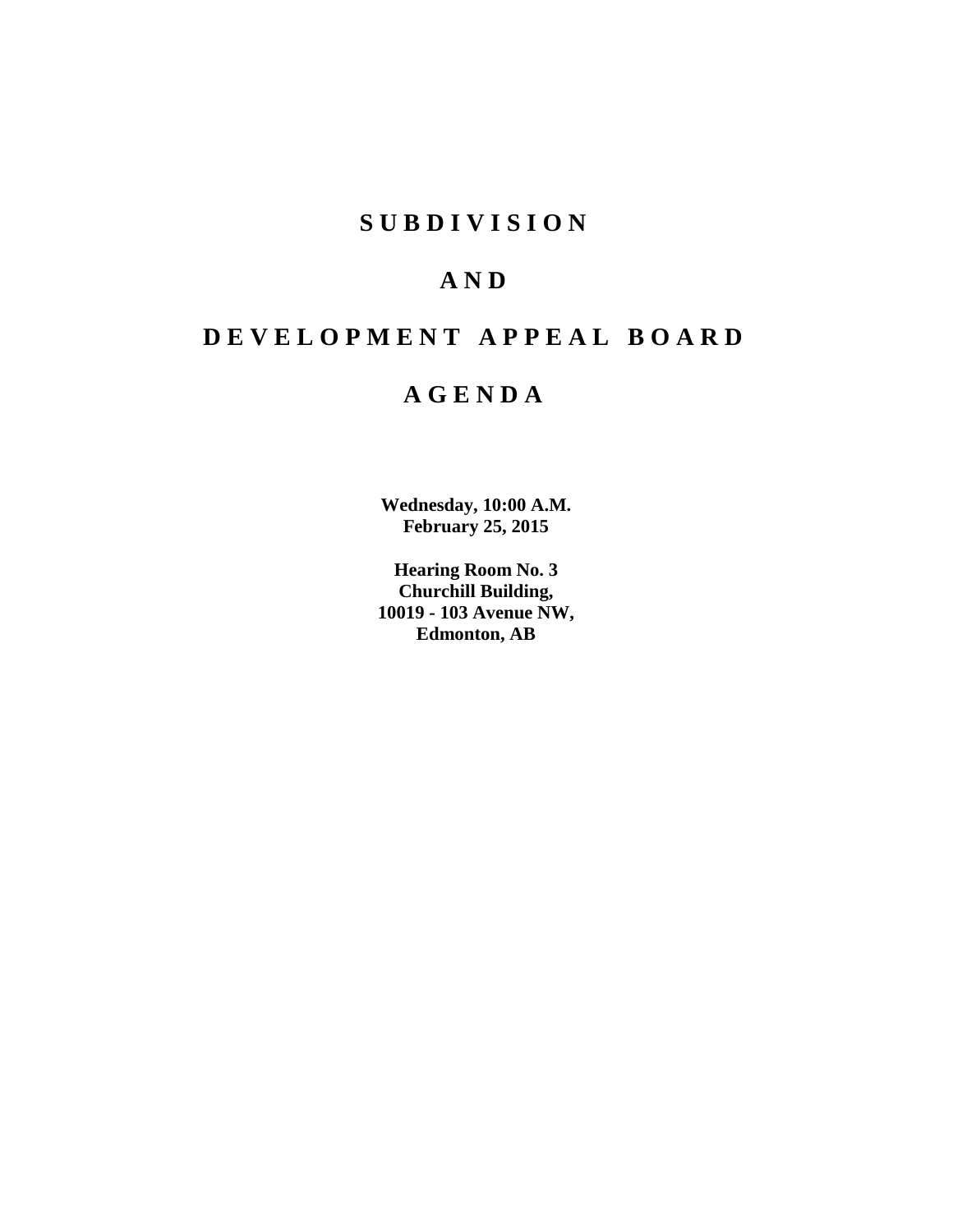## **S U B D I V I S I O N**

## **A N D**

# **D E V E L O P M E N T A P P E A L B O A R D**

## **A G E N D A**

**Wednesday, 10:00 A.M. February 25, 2015**

**Hearing Room No. 3 Churchill Building, 10019 - 103 Avenue NW, Edmonton, AB**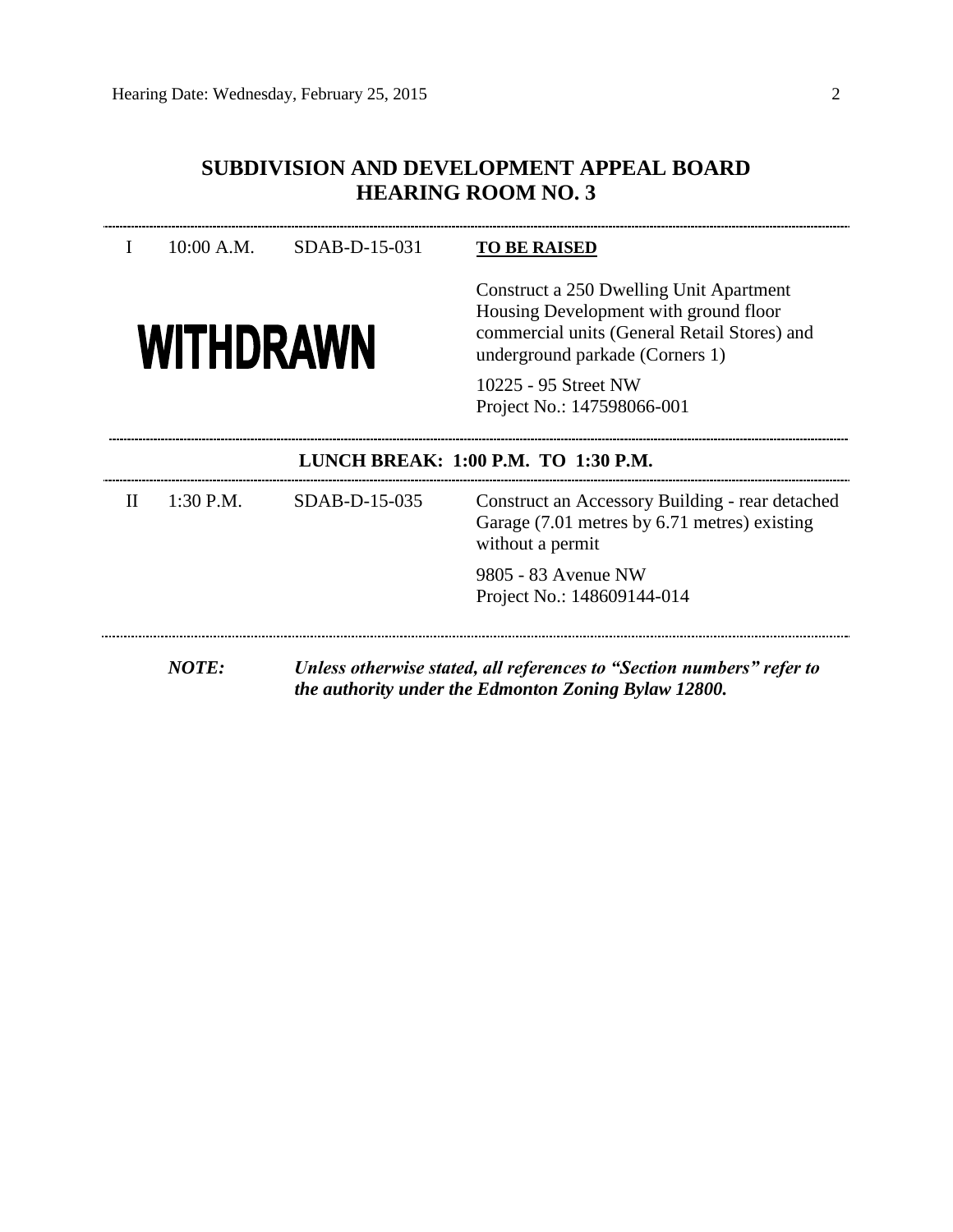## **SUBDIVISION AND DEVELOPMENT APPEAL BOARD HEARING ROOM NO. 3**

## I 10:00 A.M. SDAB-D-15-031 **TO BE RAISED**



Construct a 250 Dwelling Unit Apartment Housing Development with ground floor commercial units (General Retail Stores) and underground parkade (Corners 1)

10225 - 95 Street NW Project No.: 147598066-001

\_\_\_\_\_\_\_\_\_\_\_\_\_\_\_\_\_\_\_\_\_\_\_\_\_

## **LUNCH BREAK: 1:00 P.M. TO 1:30 P.M.**

| Н | $1:30$ P.M.  | SDAB-D-15-035 | Construct an Accessory Building - rear detached<br>Garage (7.01 metres by 6.71 metres) existing<br>without a permit |
|---|--------------|---------------|---------------------------------------------------------------------------------------------------------------------|
|   |              |               | 9805 - 83 Avenue NW<br>Project No.: 148609144-014                                                                   |
|   | <i>NOTE:</i> |               | Unless otherwise stated, all references to "Section numbers" refer to                                               |

*the authority under the Edmonton Zoning Bylaw 12800.*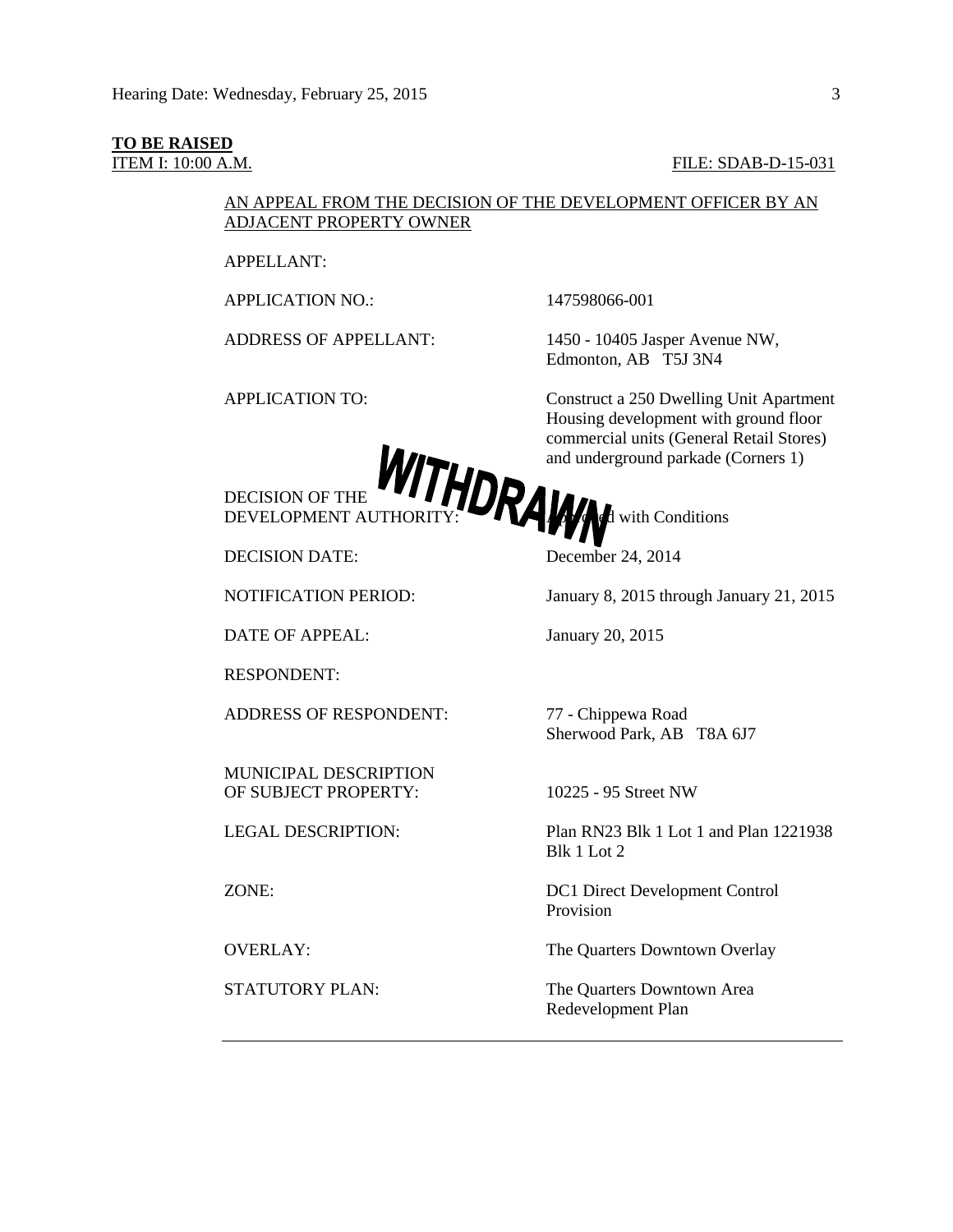#### **TO BE RAISED**

ITEM I: 10:00 A.M. FILE: SDAB-D-15-031

## AN APPEAL FROM THE DECISION OF THE DEVELOPMENT OFFICER BY AN ADJACENT PROPERTY OWNER

APPELLANT:

APPLICATION NO.: 147598066-001

ADDRESS OF APPELLANT: 1450 - 10405 Jasper Avenue NW, Edmonton, AB T5J 3N4

APPLICATION TO: Construct a 250 Dwelling Unit Apartment Housing development with ground floor commercial units (General Retail Stores) and underground parkade (Corners 1)

DECISION OF THE DEVELOPMENT AUTHORITY:  $\blacksquare$   $\blacksquare$   $\blacksquare$  with Conditions

DECISION DATE: December 24, 2014

DATE OF APPEAL: January 20, 2015

RESPONDENT:

ADDRESS OF RESPONDENT: 77 - Chippewa Road

MUNICIPAL DESCRIPTION OF SUBJECT PROPERTY: 10225 - 95 Street NW

NOTIFICATION PERIOD: January 8, 2015 through January 21, 2015

Sherwood Park, AB T8A 6J7

LEGAL DESCRIPTION: Plan RN23 Blk 1 Lot 1 and Plan 1221938 Blk 1 Lot 2

ZONE: DC1 Direct Development Control Provision

OVERLAY: The Quarters Downtown Overlay

STATUTORY PLAN: The Quarters Downtown Area Redevelopment Plan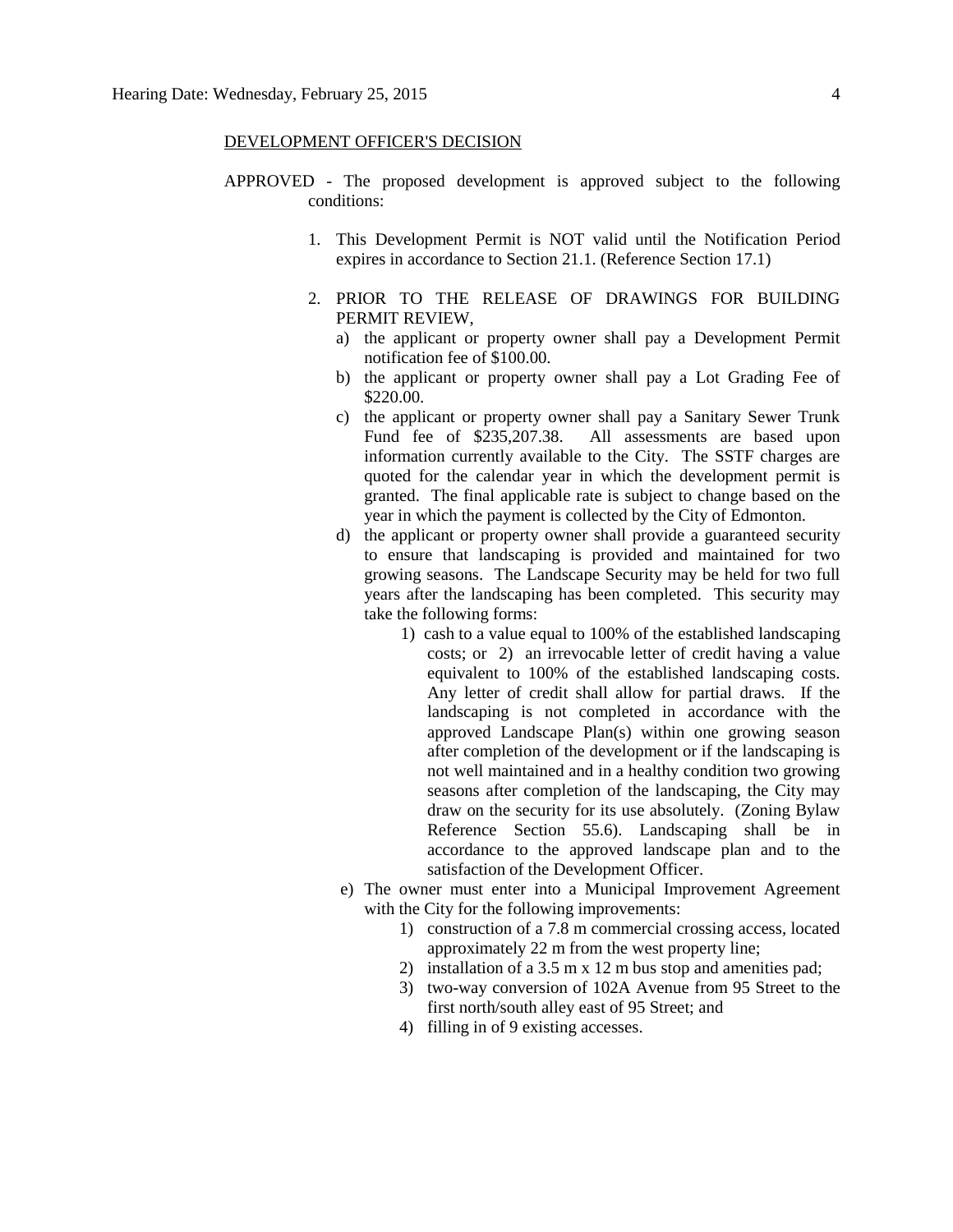#### DEVELOPMENT OFFICER'S DECISION

- APPROVED The proposed development is approved subject to the following conditions:
	- 1. This Development Permit is NOT valid until the Notification Period expires in accordance to Section 21.1. (Reference Section 17.1)
	- 2. PRIOR TO THE RELEASE OF DRAWINGS FOR BUILDING PERMIT REVIEW,
		- a) the applicant or property owner shall pay a Development Permit notification fee of \$100.00.
		- b) the applicant or property owner shall pay a Lot Grading Fee of \$220.00.
		- c) the applicant or property owner shall pay a Sanitary Sewer Trunk Fund fee of \$235,207.38. All assessments are based upon information currently available to the City. The SSTF charges are quoted for the calendar year in which the development permit is granted. The final applicable rate is subject to change based on the year in which the payment is collected by the City of Edmonton.
		- d) the applicant or property owner shall provide a guaranteed security to ensure that landscaping is provided and maintained for two growing seasons. The Landscape Security may be held for two full years after the landscaping has been completed. This security may take the following forms:
			- 1) cash to a value equal to 100% of the established landscaping costs; or 2) an irrevocable letter of credit having a value equivalent to 100% of the established landscaping costs. Any letter of credit shall allow for partial draws. If the landscaping is not completed in accordance with the approved Landscape Plan(s) within one growing season after completion of the development or if the landscaping is not well maintained and in a healthy condition two growing seasons after completion of the landscaping, the City may draw on the security for its use absolutely. (Zoning Bylaw Reference Section 55.6). Landscaping shall be in accordance to the approved landscape plan and to the satisfaction of the Development Officer.
		- e) The owner must enter into a Municipal Improvement Agreement with the City for the following improvements:
			- 1) construction of a 7.8 m commercial crossing access, located approximately 22 m from the west property line;
			- 2) installation of a 3.5 m x 12 m bus stop and amenities pad;
			- 3) two-way conversion of 102A Avenue from 95 Street to the first north/south alley east of 95 Street; and
			- 4) filling in of 9 existing accesses.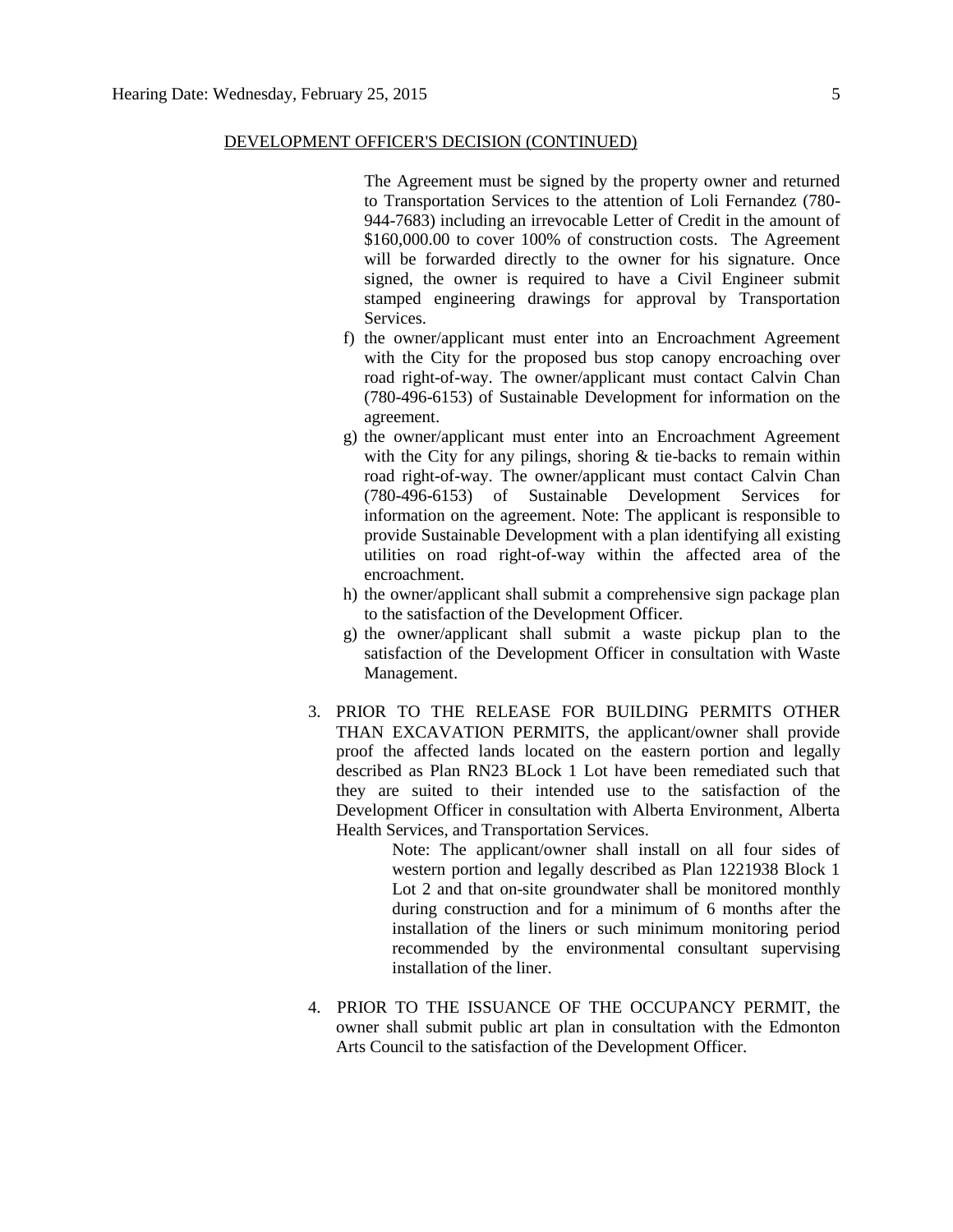The Agreement must be signed by the property owner and returned to Transportation Services to the attention of Loli Fernandez (780- 944-7683) including an irrevocable Letter of Credit in the amount of \$160,000.00 to cover 100% of construction costs. The Agreement will be forwarded directly to the owner for his signature. Once signed, the owner is required to have a Civil Engineer submit stamped engineering drawings for approval by Transportation Services.

- f) the owner/applicant must enter into an Encroachment Agreement with the City for the proposed bus stop canopy encroaching over road right-of-way. The owner/applicant must contact Calvin Chan (780-496-6153) of Sustainable Development for information on the agreement.
- g) the owner/applicant must enter into an Encroachment Agreement with the City for any pilings, shoring & tie-backs to remain within road right-of-way. The owner/applicant must contact Calvin Chan (780-496-6153) of Sustainable Development Services for information on the agreement. Note: The applicant is responsible to provide Sustainable Development with a plan identifying all existing utilities on road right-of-way within the affected area of the encroachment.
- h) the owner/applicant shall submit a comprehensive sign package plan to the satisfaction of the Development Officer.
- g) the owner/applicant shall submit a waste pickup plan to the satisfaction of the Development Officer in consultation with Waste Management.
- 3. PRIOR TO THE RELEASE FOR BUILDING PERMITS OTHER THAN EXCAVATION PERMITS, the applicant/owner shall provide proof the affected lands located on the eastern portion and legally described as Plan RN23 BLock 1 Lot have been remediated such that they are suited to their intended use to the satisfaction of the Development Officer in consultation with Alberta Environment, Alberta Health Services, and Transportation Services.

Note: The applicant/owner shall install on all four sides of western portion and legally described as Plan 1221938 Block 1 Lot 2 and that on-site groundwater shall be monitored monthly during construction and for a minimum of 6 months after the installation of the liners or such minimum monitoring period recommended by the environmental consultant supervising installation of the liner.

4. PRIOR TO THE ISSUANCE OF THE OCCUPANCY PERMIT, the owner shall submit public art plan in consultation with the Edmonton Arts Council to the satisfaction of the Development Officer.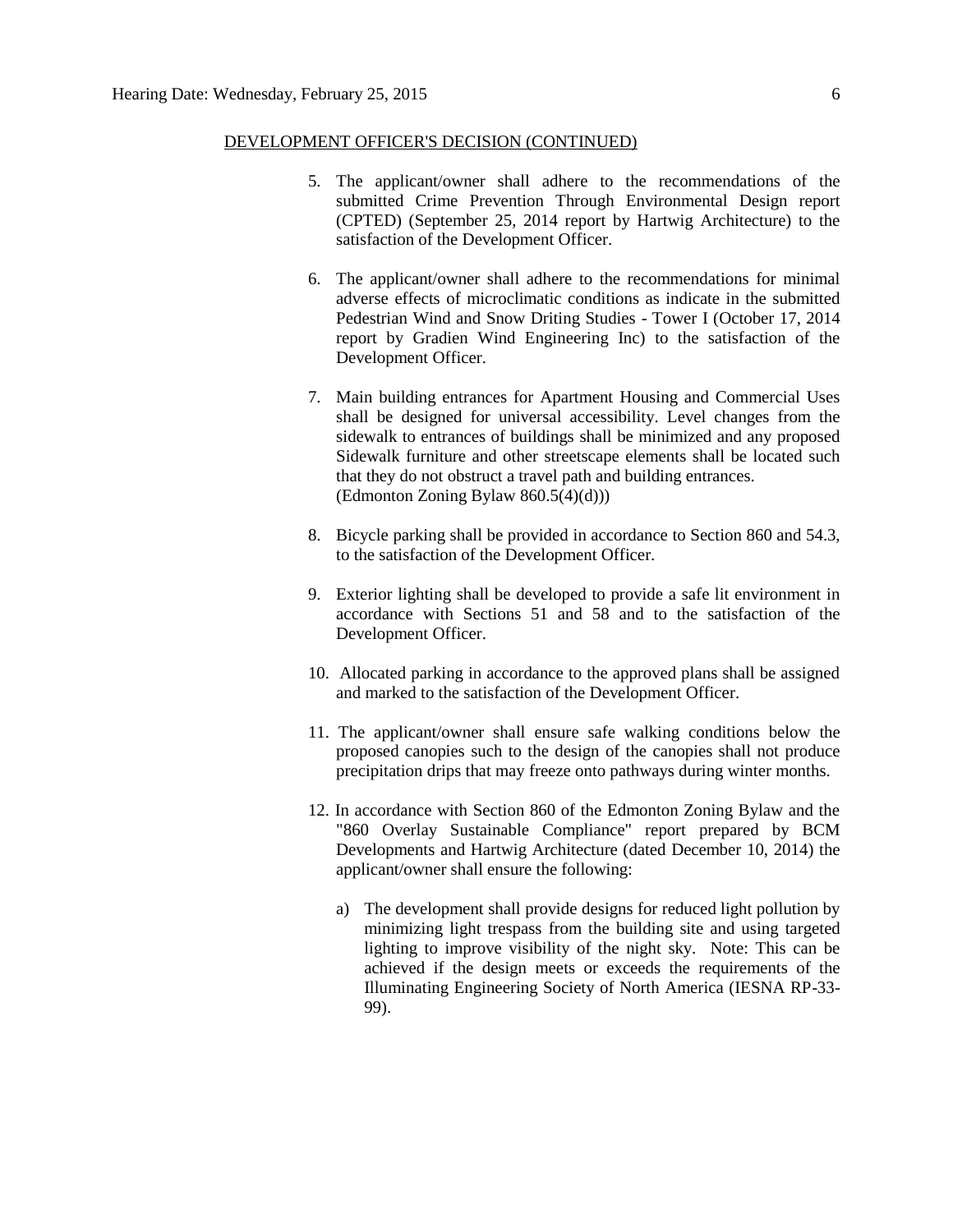- 5. The applicant/owner shall adhere to the recommendations of the submitted Crime Prevention Through Environmental Design report (CPTED) (September 25, 2014 report by Hartwig Architecture) to the satisfaction of the Development Officer.
- 6. The applicant/owner shall adhere to the recommendations for minimal adverse effects of microclimatic conditions as indicate in the submitted Pedestrian Wind and Snow Driting Studies - Tower I (October 17, 2014 report by Gradien Wind Engineering Inc) to the satisfaction of the Development Officer.
- 7. Main building entrances for Apartment Housing and Commercial Uses shall be designed for universal accessibility. Level changes from the sidewalk to entrances of buildings shall be minimized and any proposed Sidewalk furniture and other streetscape elements shall be located such that they do not obstruct a travel path and building entrances.  $(Ed$ monton Zoning Bylaw 860.5(4)(d))
- 8. Bicycle parking shall be provided in accordance to Section 860 and 54.3, to the satisfaction of the Development Officer.
- 9. Exterior lighting shall be developed to provide a safe lit environment in accordance with Sections 51 and 58 and to the satisfaction of the Development Officer.
- 10. Allocated parking in accordance to the approved plans shall be assigned and marked to the satisfaction of the Development Officer.
- 11. The applicant/owner shall ensure safe walking conditions below the proposed canopies such to the design of the canopies shall not produce precipitation drips that may freeze onto pathways during winter months.
- 12. In accordance with Section 860 of the Edmonton Zoning Bylaw and the "860 Overlay Sustainable Compliance" report prepared by BCM Developments and Hartwig Architecture (dated December 10, 2014) the applicant/owner shall ensure the following:
	- a) The development shall provide designs for reduced light pollution by minimizing light trespass from the building site and using targeted lighting to improve visibility of the night sky. Note: This can be achieved if the design meets or exceeds the requirements of the Illuminating Engineering Society of North America (IESNA RP-33- 99).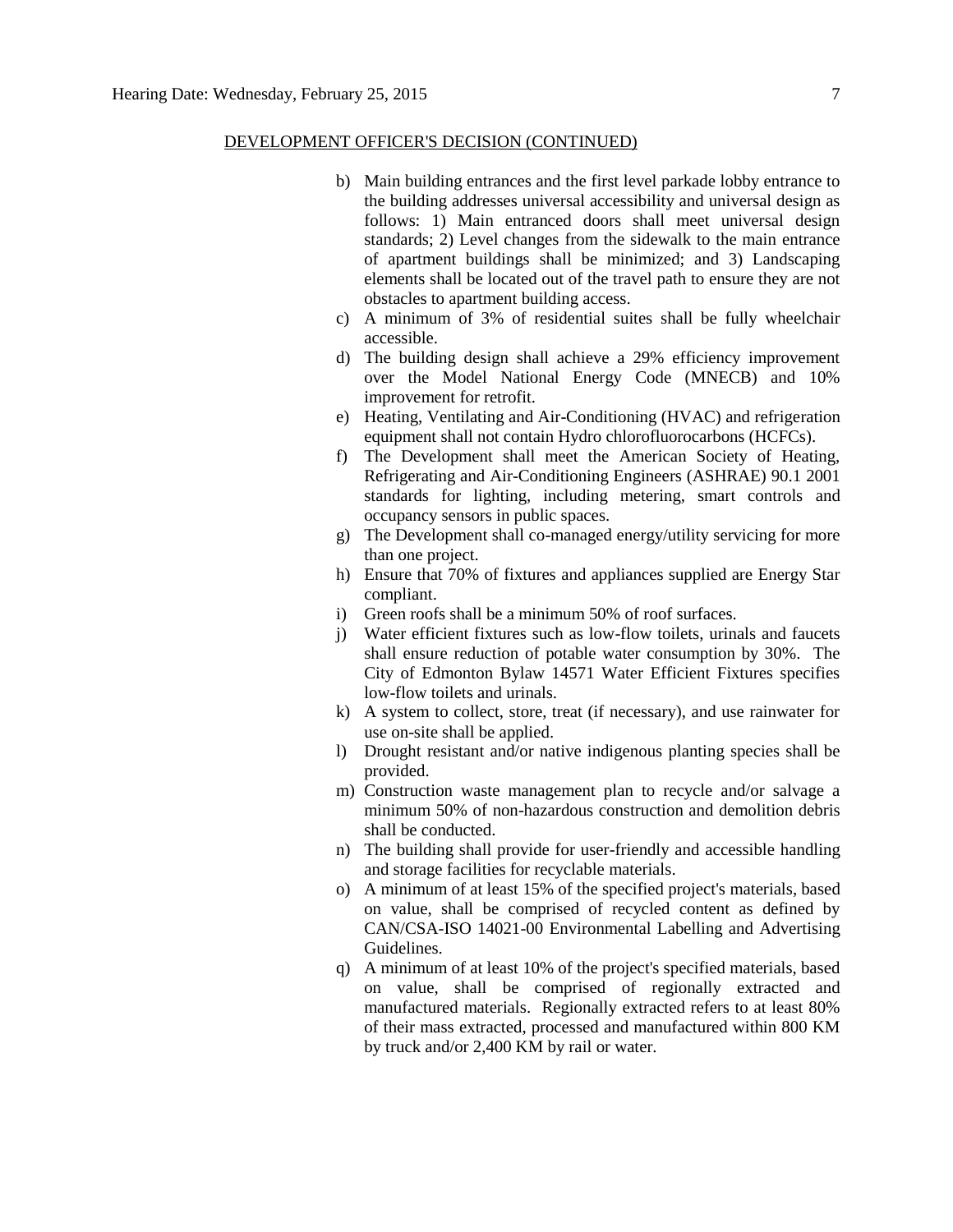- b) Main building entrances and the first level parkade lobby entrance to the building addresses universal accessibility and universal design as follows: 1) Main entranced doors shall meet universal design standards; 2) Level changes from the sidewalk to the main entrance of apartment buildings shall be minimized; and 3) Landscaping elements shall be located out of the travel path to ensure they are not obstacles to apartment building access.
- c) A minimum of 3% of residential suites shall be fully wheelchair accessible.
- d) The building design shall achieve a 29% efficiency improvement over the Model National Energy Code (MNECB) and 10% improvement for retrofit.
- e) Heating, Ventilating and Air-Conditioning (HVAC) and refrigeration equipment shall not contain Hydro chlorofluorocarbons (HCFCs).
- f) The Development shall meet the American Society of Heating, Refrigerating and Air-Conditioning Engineers (ASHRAE) 90.1 2001 standards for lighting, including metering, smart controls and occupancy sensors in public spaces.
- g) The Development shall co-managed energy/utility servicing for more than one project.
- h) Ensure that 70% of fixtures and appliances supplied are Energy Star compliant.
- i) Green roofs shall be a minimum 50% of roof surfaces.
- j) Water efficient fixtures such as low-flow toilets, urinals and faucets shall ensure reduction of potable water consumption by 30%. The City of Edmonton Bylaw 14571 Water Efficient Fixtures specifies low-flow toilets and urinals.
- k) A system to collect, store, treat (if necessary), and use rainwater for use on-site shall be applied.
- l) Drought resistant and/or native indigenous planting species shall be provided.
- m) Construction waste management plan to recycle and/or salvage a minimum 50% of non-hazardous construction and demolition debris shall be conducted.
- n) The building shall provide for user-friendly and accessible handling and storage facilities for recyclable materials.
- o) A minimum of at least 15% of the specified project's materials, based on value, shall be comprised of recycled content as defined by CAN/CSA-ISO 14021-00 Environmental Labelling and Advertising Guidelines.
- q) A minimum of at least 10% of the project's specified materials, based on value, shall be comprised of regionally extracted and manufactured materials. Regionally extracted refers to at least 80% of their mass extracted, processed and manufactured within 800 KM by truck and/or 2,400 KM by rail or water.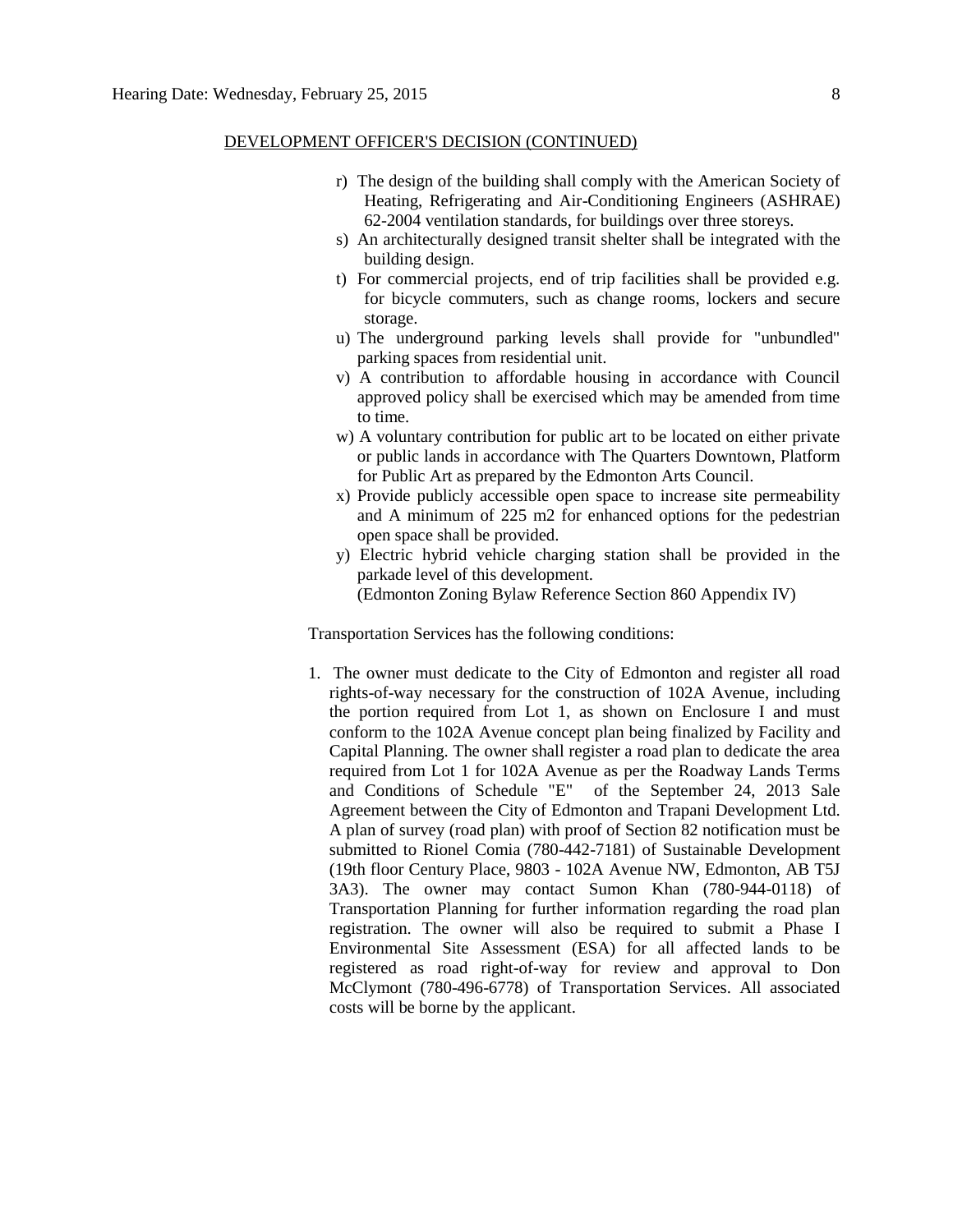- r) The design of the building shall comply with the American Society of Heating, Refrigerating and Air-Conditioning Engineers (ASHRAE) 62-2004 ventilation standards, for buildings over three storeys.
- s) An architecturally designed transit shelter shall be integrated with the building design.
- t) For commercial projects, end of trip facilities shall be provided e.g. for bicycle commuters, such as change rooms, lockers and secure storage.
- u) The underground parking levels shall provide for "unbundled" parking spaces from residential unit.
- v) A contribution to affordable housing in accordance with Council approved policy shall be exercised which may be amended from time to time.
- w) A voluntary contribution for public art to be located on either private or public lands in accordance with The Quarters Downtown, Platform for Public Art as prepared by the Edmonton Arts Council.
- x) Provide publicly accessible open space to increase site permeability and A minimum of 225 m2 for enhanced options for the pedestrian open space shall be provided.
- y) Electric hybrid vehicle charging station shall be provided in the parkade level of this development. (Edmonton Zoning Bylaw Reference Section 860 Appendix IV)

Transportation Services has the following conditions:

1. The owner must dedicate to the City of Edmonton and register all road rights-of-way necessary for the construction of 102A Avenue, including the portion required from Lot 1, as shown on Enclosure I and must conform to the 102A Avenue concept plan being finalized by Facility and Capital Planning. The owner shall register a road plan to dedicate the area required from Lot 1 for 102A Avenue as per the Roadway Lands Terms and Conditions of Schedule "E" of the September 24, 2013 Sale Agreement between the City of Edmonton and Trapani Development Ltd. A plan of survey (road plan) with proof of Section 82 notification must be submitted to Rionel Comia (780-442-7181) of Sustainable Development (19th floor Century Place, 9803 - 102A Avenue NW, Edmonton, AB T5J 3A3). The owner may contact Sumon Khan (780-944-0118) of Transportation Planning for further information regarding the road plan registration. The owner will also be required to submit a Phase I Environmental Site Assessment (ESA) for all affected lands to be registered as road right-of-way for review and approval to Don McClymont (780-496-6778) of Transportation Services. All associated costs will be borne by the applicant.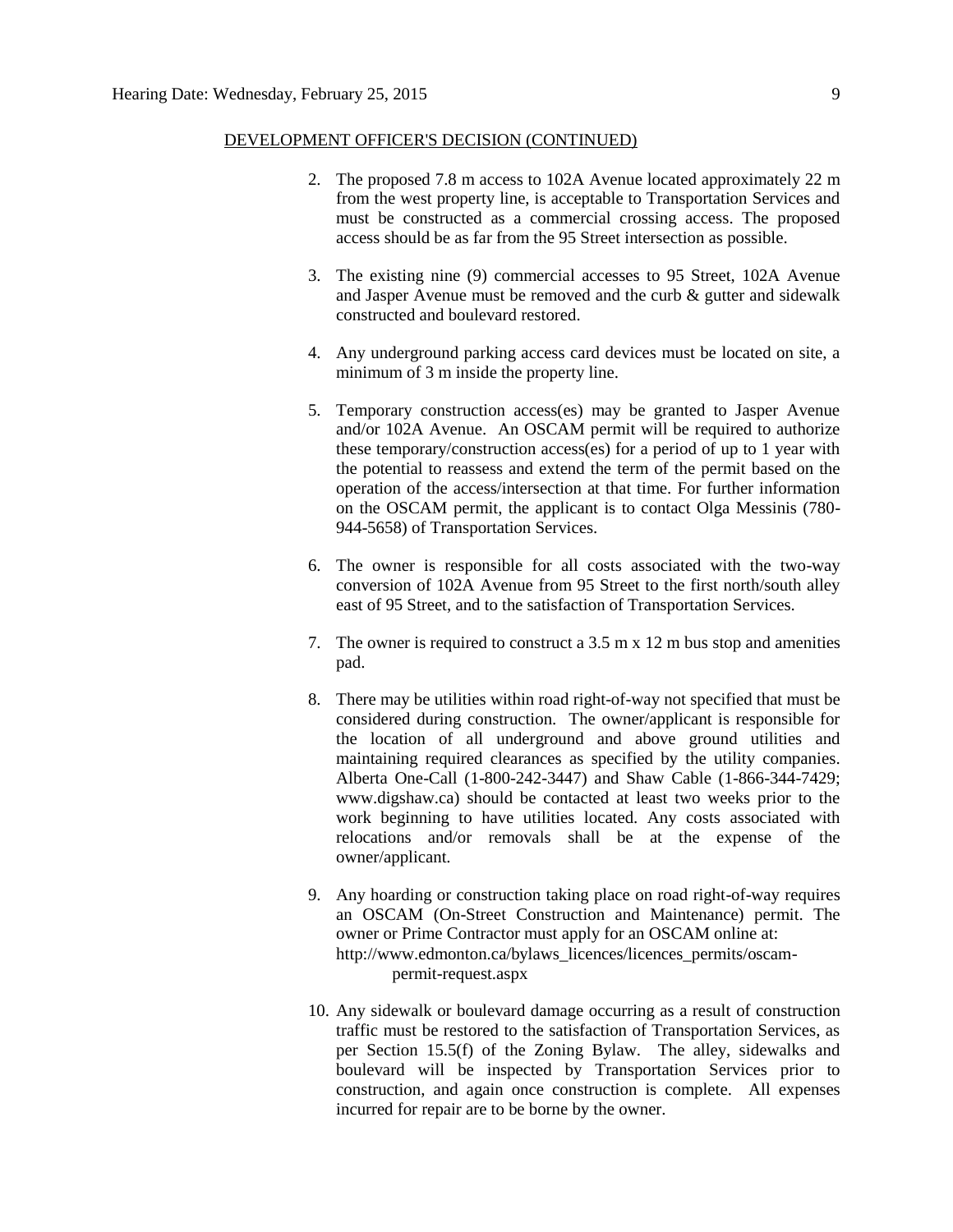- 2. The proposed 7.8 m access to 102A Avenue located approximately 22 m from the west property line, is acceptable to Transportation Services and must be constructed as a commercial crossing access. The proposed access should be as far from the 95 Street intersection as possible.
- 3. The existing nine (9) commercial accesses to 95 Street, 102A Avenue and Jasper Avenue must be removed and the curb & gutter and sidewalk constructed and boulevard restored.
- 4. Any underground parking access card devices must be located on site, a minimum of 3 m inside the property line.
- 5. Temporary construction access(es) may be granted to Jasper Avenue and/or 102A Avenue. An OSCAM permit will be required to authorize these temporary/construction access(es) for a period of up to 1 year with the potential to reassess and extend the term of the permit based on the operation of the access/intersection at that time. For further information on the OSCAM permit, the applicant is to contact Olga Messinis (780- 944-5658) of Transportation Services.
- 6. The owner is responsible for all costs associated with the two-way conversion of 102A Avenue from 95 Street to the first north/south alley east of 95 Street, and to the satisfaction of Transportation Services.
- 7. The owner is required to construct a 3.5 m x 12 m bus stop and amenities pad.
- 8. There may be utilities within road right-of-way not specified that must be considered during construction. The owner/applicant is responsible for the location of all underground and above ground utilities and maintaining required clearances as specified by the utility companies. Alberta One-Call (1-800-242-3447) and Shaw Cable (1-866-344-7429; www.digshaw.ca) should be contacted at least two weeks prior to the work beginning to have utilities located. Any costs associated with relocations and/or removals shall be at the expense of the owner/applicant.
- 9. Any hoarding or construction taking place on road right-of-way requires an OSCAM (On-Street Construction and Maintenance) permit. The owner or Prime Contractor must apply for an OSCAM online at: [http://www.edmonton.ca/bylaws\\_licences/licences\\_permits/oscam](http://www.edmonton.ca/bylaws_licences/licences_permits/oscam-permit-request.aspx)[permit-request.aspx](http://www.edmonton.ca/bylaws_licences/licences_permits/oscam-permit-request.aspx)
- 10. Any sidewalk or boulevard damage occurring as a result of construction traffic must be restored to the satisfaction of Transportation Services, as per Section 15.5(f) of the Zoning Bylaw. The alley, sidewalks and boulevard will be inspected by Transportation Services prior to construction, and again once construction is complete. All expenses incurred for repair are to be borne by the owner.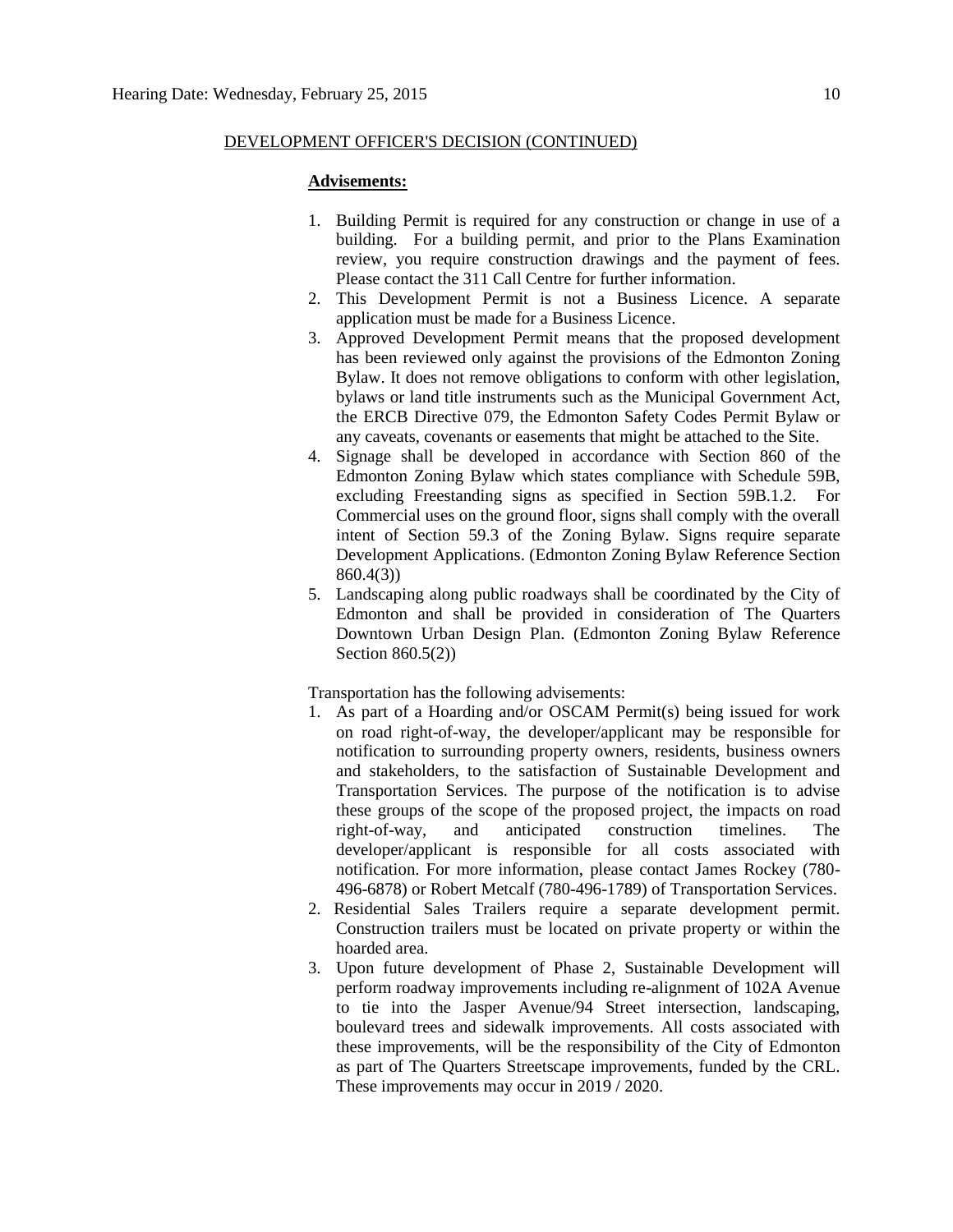#### **Advisements:**

- 1. Building Permit is required for any construction or change in use of a building. For a building permit, and prior to the Plans Examination review, you require construction drawings and the payment of fees. Please contact the 311 Call Centre for further information.
- 2. This Development Permit is not a Business Licence. A separate application must be made for a Business Licence.
- 3. Approved Development Permit means that the proposed development has been reviewed only against the provisions of the Edmonton Zoning Bylaw. It does not remove obligations to conform with other legislation, bylaws or land title instruments such as the Municipal Government Act, the ERCB Directive 079, the Edmonton Safety Codes Permit Bylaw or any caveats, covenants or easements that might be attached to the Site.
- 4. Signage shall be developed in accordance with Section 860 of the Edmonton Zoning Bylaw which states compliance with Schedule 59B, excluding Freestanding signs as specified in Section 59B.1.2. For Commercial uses on the ground floor, signs shall comply with the overall intent of Section 59.3 of the Zoning Bylaw. Signs require separate Development Applications. (Edmonton Zoning Bylaw Reference Section 860.4(3))
- 5. Landscaping along public roadways shall be coordinated by the City of Edmonton and shall be provided in consideration of The Quarters Downtown Urban Design Plan. (Edmonton Zoning Bylaw Reference Section 860.5(2))

Transportation has the following advisements:

- 1. As part of a Hoarding and/or OSCAM Permit(s) being issued for work on road right-of-way, the developer/applicant may be responsible for notification to surrounding property owners, residents, business owners and stakeholders, to the satisfaction of Sustainable Development and Transportation Services. The purpose of the notification is to advise these groups of the scope of the proposed project, the impacts on road right-of-way, and anticipated construction timelines. The developer/applicant is responsible for all costs associated with notification. For more information, please contact James Rockey (780- 496-6878) or Robert Metcalf (780-496-1789) of Transportation Services.
- 2. Residential Sales Trailers require a separate development permit. Construction trailers must be located on private property or within the hoarded area.
- 3. Upon future development of Phase 2, Sustainable Development will perform roadway improvements including re-alignment of 102A Avenue to tie into the Jasper Avenue/94 Street intersection, landscaping, boulevard trees and sidewalk improvements. All costs associated with these improvements, will be the responsibility of the City of Edmonton as part of The Quarters Streetscape improvements, funded by the CRL. These improvements may occur in 2019 / 2020.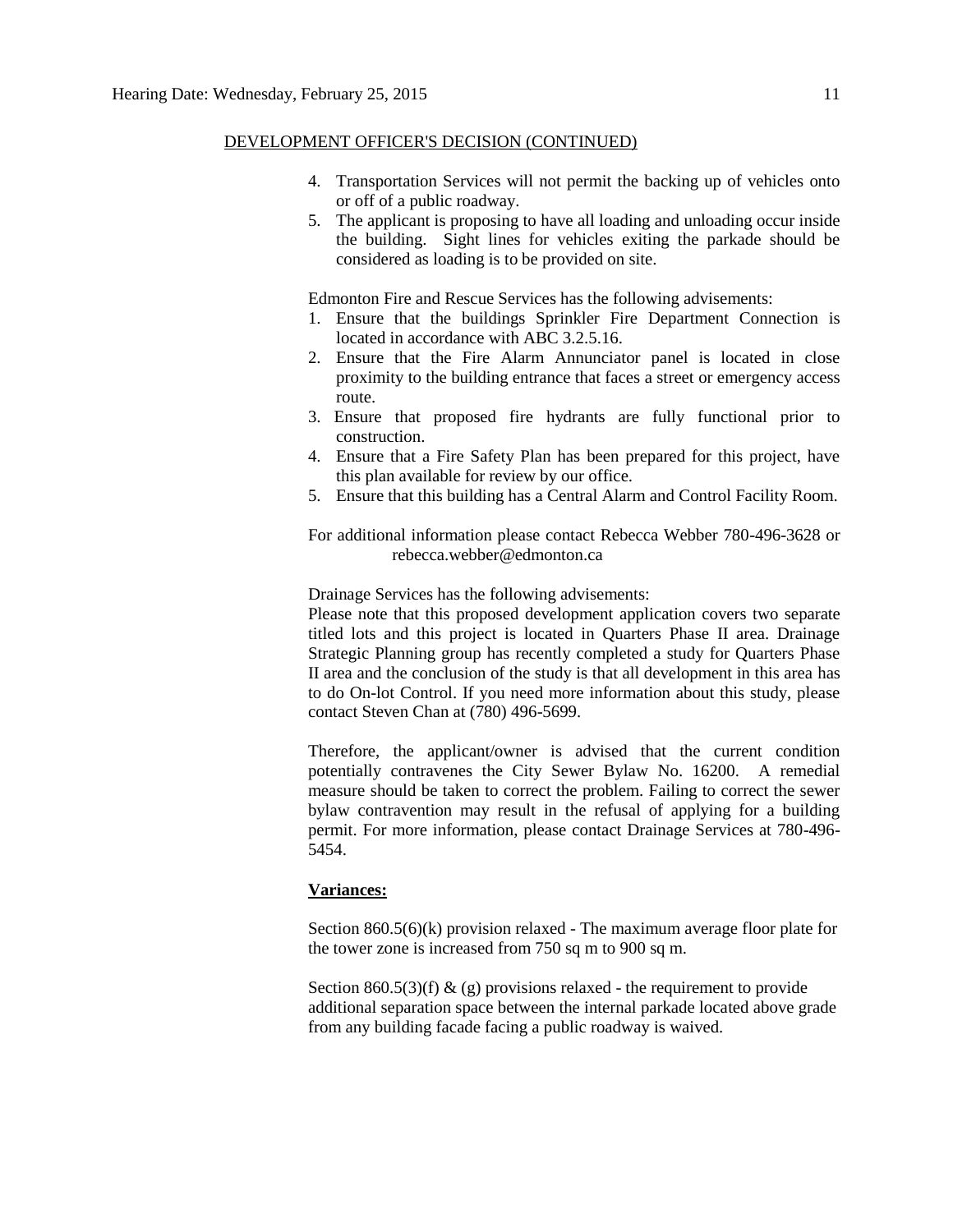- 4. Transportation Services will not permit the backing up of vehicles onto or off of a public roadway.
- 5. The applicant is proposing to have all loading and unloading occur inside the building. Sight lines for vehicles exiting the parkade should be considered as loading is to be provided on site.

Edmonton Fire and Rescue Services has the following advisements:

- 1. Ensure that the buildings Sprinkler Fire Department Connection is located in accordance with ABC 3.2.5.16.
- 2. Ensure that the Fire Alarm Annunciator panel is located in close proximity to the building entrance that faces a street or emergency access route.
- 3. Ensure that proposed fire hydrants are fully functional prior to construction.
- 4. Ensure that a Fire Safety Plan has been prepared for this project, have this plan available for review by our office.
- 5. Ensure that this building has a Central Alarm and Control Facility Room.

For additional information please contact Rebecca Webber 780-496-3628 or rebecca.webber@edmonton.ca

Drainage Services has the following advisements:

Please note that this proposed development application covers two separate titled lots and this project is located in Quarters Phase II area. Drainage Strategic Planning group has recently completed a study for Quarters Phase II area and the conclusion of the study is that all development in this area has to do On-lot Control. If you need more information about this study, please contact Steven Chan at (780) 496-5699.

Therefore, the applicant/owner is advised that the current condition potentially contravenes the City Sewer Bylaw No. 16200. A remedial measure should be taken to correct the problem. Failing to correct the sewer bylaw contravention may result in the refusal of applying for a building permit. For more information, please contact Drainage Services at 780-496- 5454.

## **Variances:**

Section 860.5(6)(k) provision relaxed - The maximum average floor plate for the tower zone is increased from 750 sq m to 900 sq m.

Section 860.5(3)(f)  $\&$  (g) provisions relaxed - the requirement to provide additional separation space between the internal parkade located above grade from any building facade facing a public roadway is waived.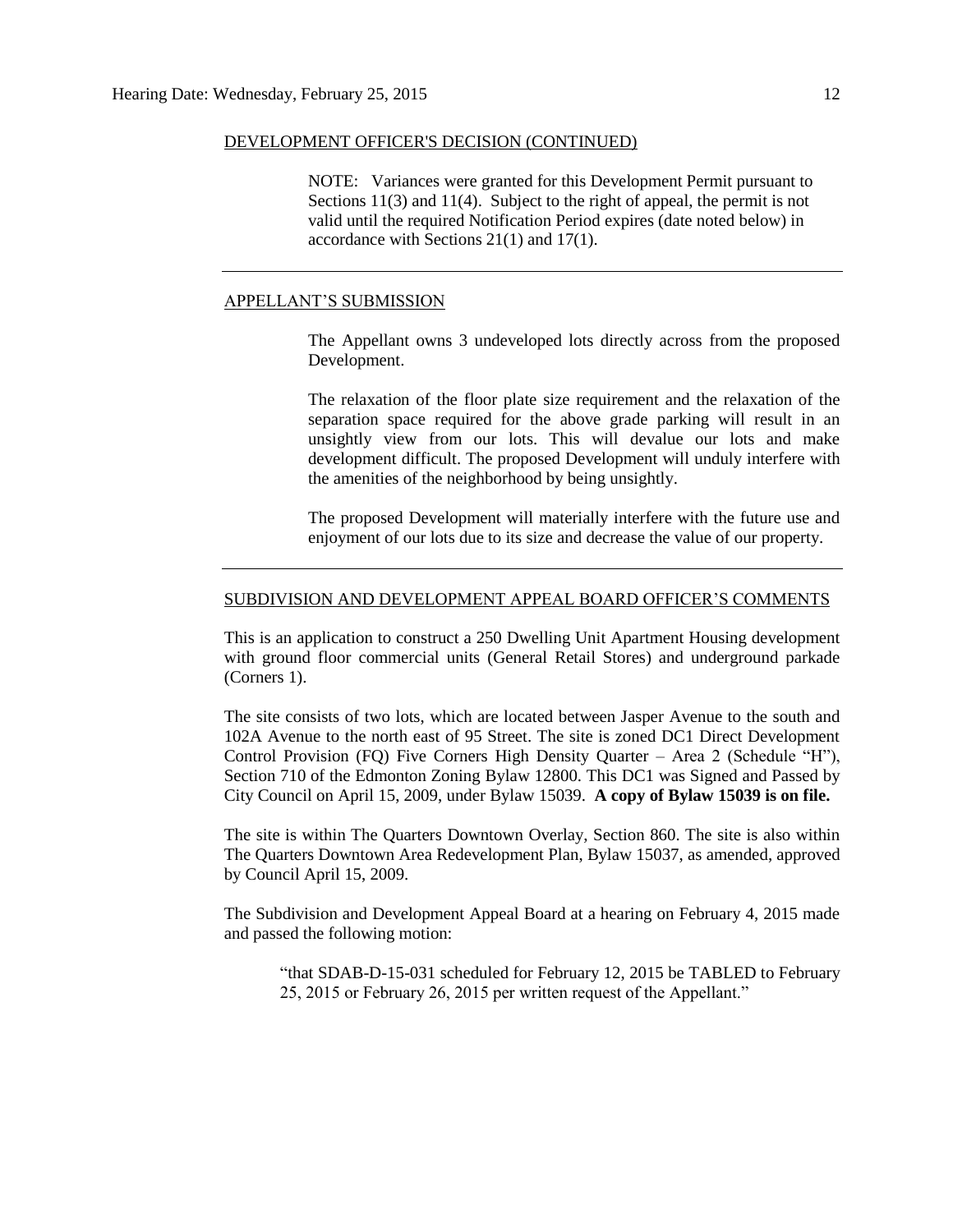NOTE: Variances were granted for this Development Permit pursuant to Sections 11(3) and 11(4). Subject to the right of appeal, the permit is not valid until the required Notification Period expires (date noted below) in accordance with Sections 21(1) and 17(1).

## APPELLANT'S SUBMISSION

The Appellant owns 3 undeveloped lots directly across from the proposed Development.

The relaxation of the floor plate size requirement and the relaxation of the separation space required for the above grade parking will result in an unsightly view from our lots. This will devalue our lots and make development difficult. The proposed Development will unduly interfere with the amenities of the neighborhood by being unsightly.

The proposed Development will materially interfere with the future use and enjoyment of our lots due to its size and decrease the value of our property.

#### SUBDIVISION AND DEVELOPMENT APPEAL BOARD OFFICER'S COMMENTS

This is an application to construct a 250 Dwelling Unit Apartment Housing development with ground floor commercial units (General Retail Stores) and underground parkade (Corners 1).

The site consists of two lots, which are located between Jasper Avenue to the south and 102A Avenue to the north east of 95 Street. The site is zoned DC1 Direct Development Control Provision (FQ) Five Corners High Density Quarter – Area 2 (Schedule "H"), Section 710 of the Edmonton Zoning Bylaw 12800. This DC1 was Signed and Passed by City Council on April 15, 2009, under Bylaw 15039. **A copy of Bylaw 15039 is on file.** 

The site is within The Quarters Downtown Overlay, Section 860. The site is also within The Quarters Downtown Area Redevelopment Plan, Bylaw 15037, as amended, approved by Council April 15, 2009.

The Subdivision and Development Appeal Board at a hearing on February 4, 2015 made and passed the following motion:

"that SDAB-D-15-031 scheduled for February 12, 2015 be TABLED to February 25, 2015 or February 26, 2015 per written request of the Appellant."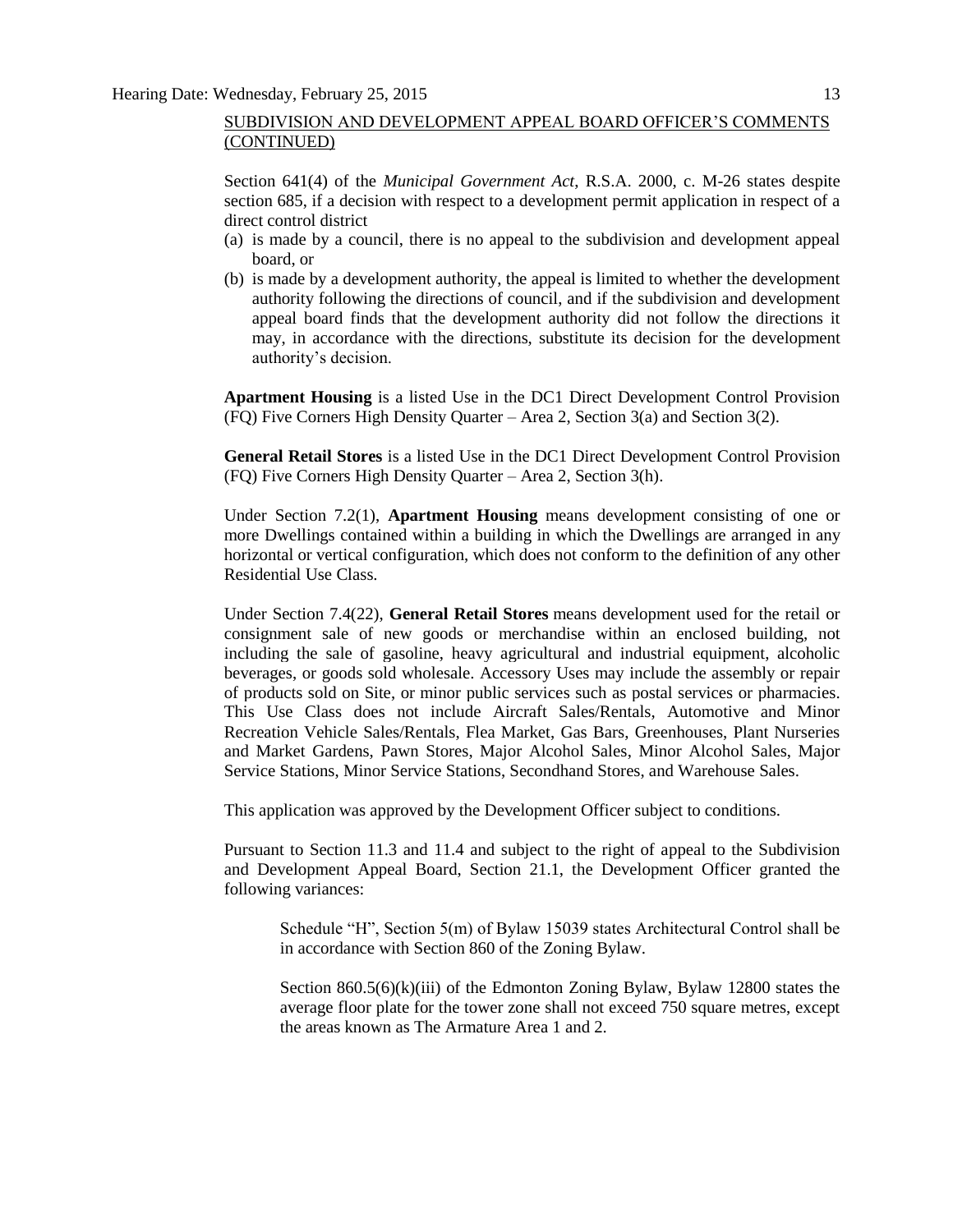Section 641(4) of the *Municipal Government Act*, R.S.A. 2000, c. M-26 states despite section 685, if a decision with respect to a development permit application in respect of a direct control district

- (a) is made by a council, there is no appeal to the subdivision and development appeal board, or
- (b) is made by a development authority, the appeal is limited to whether the development authority following the directions of council, and if the subdivision and development appeal board finds that the development authority did not follow the directions it may, in accordance with the directions, substitute its decision for the development authority's decision.

**Apartment Housing** is a listed Use in the DC1 Direct Development Control Provision (FQ) Five Corners High Density Quarter – Area 2, Section 3(a) and Section 3(2).

**General Retail Stores** is a listed Use in the DC1 Direct Development Control Provision (FQ) Five Corners High Density Quarter – Area 2, Section 3(h).

Under Section 7.2(1), **Apartment Housing** means development consisting of one or more Dwellings contained within a building in which the Dwellings are arranged in any horizontal or vertical configuration, which does not conform to the definition of any other Residential Use Class.

Under Section 7.4(22), **General Retail Stores** means development used for the retail or consignment sale of new goods or merchandise within an enclosed building, not including the sale of gasoline, heavy agricultural and industrial equipment, alcoholic beverages, or goods sold wholesale. Accessory Uses may include the assembly or repair of products sold on Site, or minor public services such as postal services or pharmacies. This Use Class does not include Aircraft Sales/Rentals, Automotive and Minor Recreation Vehicle Sales/Rentals, Flea Market, Gas Bars, Greenhouses, Plant Nurseries and Market Gardens, Pawn Stores, Major Alcohol Sales, Minor Alcohol Sales, Major Service Stations, Minor Service Stations, Secondhand Stores, and Warehouse Sales.

This application was approved by the Development Officer subject to conditions.

Pursuant to Section 11.3 and 11.4 and subject to the right of appeal to the Subdivision and Development Appeal Board, Section 21.1, the Development Officer granted the following variances:

Schedule "H", Section 5(m) of Bylaw 15039 states Architectural Control shall be in accordance with Section 860 of the Zoning Bylaw.

Section  $860.5(6)(k)(iii)$  of the Edmonton Zoning Bylaw, Bylaw 12800 states the average floor plate for the tower zone shall not exceed 750 square metres, except the areas known as The Armature Area 1 and 2.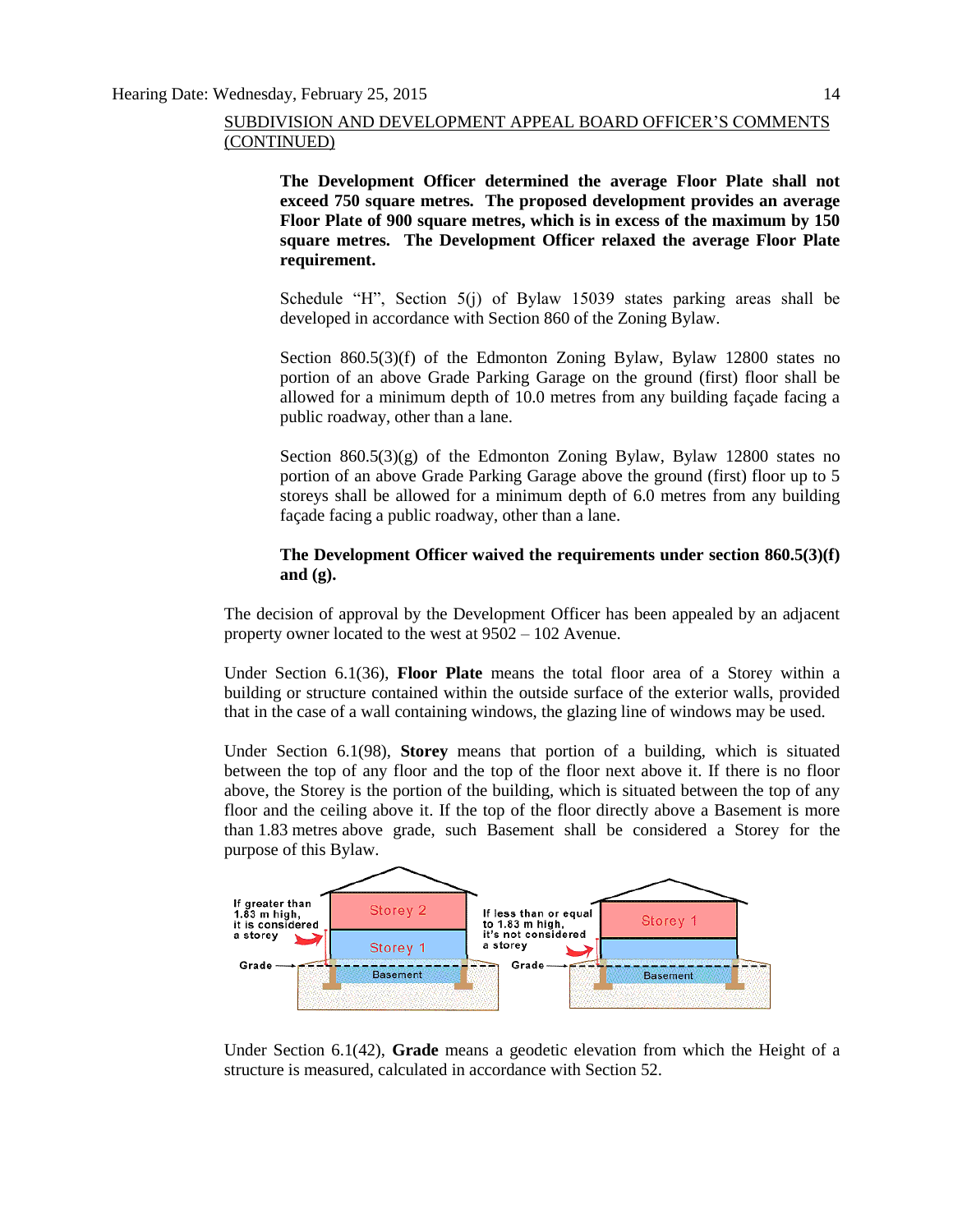**The Development Officer determined the average Floor Plate shall not exceed 750 square metres. The proposed development provides an average Floor Plate of 900 square metres, which is in excess of the maximum by 150 square metres. The Development Officer relaxed the average Floor Plate requirement.**

Schedule "H", Section 5(j) of Bylaw 15039 states parking areas shall be developed in accordance with Section 860 of the Zoning Bylaw.

Section 860.5(3)(f) of the Edmonton Zoning Bylaw, Bylaw 12800 states no portion of an above Grade Parking Garage on the ground (first) floor shall be allowed for a minimum depth of 10.0 metres from any building façade facing a public roadway, other than a lane.

Section  $860.5(3)(g)$  of the Edmonton Zoning Bylaw, Bylaw 12800 states no portion of an above Grade Parking Garage above the ground (first) floor up to 5 storeys shall be allowed for a minimum depth of 6.0 metres from any building façade facing a public roadway, other than a lane.

## **The Development Officer waived the requirements under section 860.5(3)(f) and (g).**

The decision of approval by the Development Officer has been appealed by an adjacent property owner located to the west at 9502 – 102 Avenue.

Under Section 6.1(36), **Floor Plate** means the total floor area of a Storey within a building or structure contained within the outside surface of the exterior walls, provided that in the case of a wall containing windows, the glazing line of windows may be used.

Under Section 6.1(98), **Storey** means that portion of a building, which is situated between the top of any floor and the top of the floor next above it. If there is no floor above, the Storey is the portion of the building, which is situated between the top of any floor and the ceiling above it. If the top of the floor directly above a Basement is more than 1.83 metres above grade, such Basement shall be considered a Storey for the purpose of this Bylaw.



Under Section 6.1(42), **Grade** means a geodetic elevation from which the Height of a structure is measured, calculated in accordance with Section 52.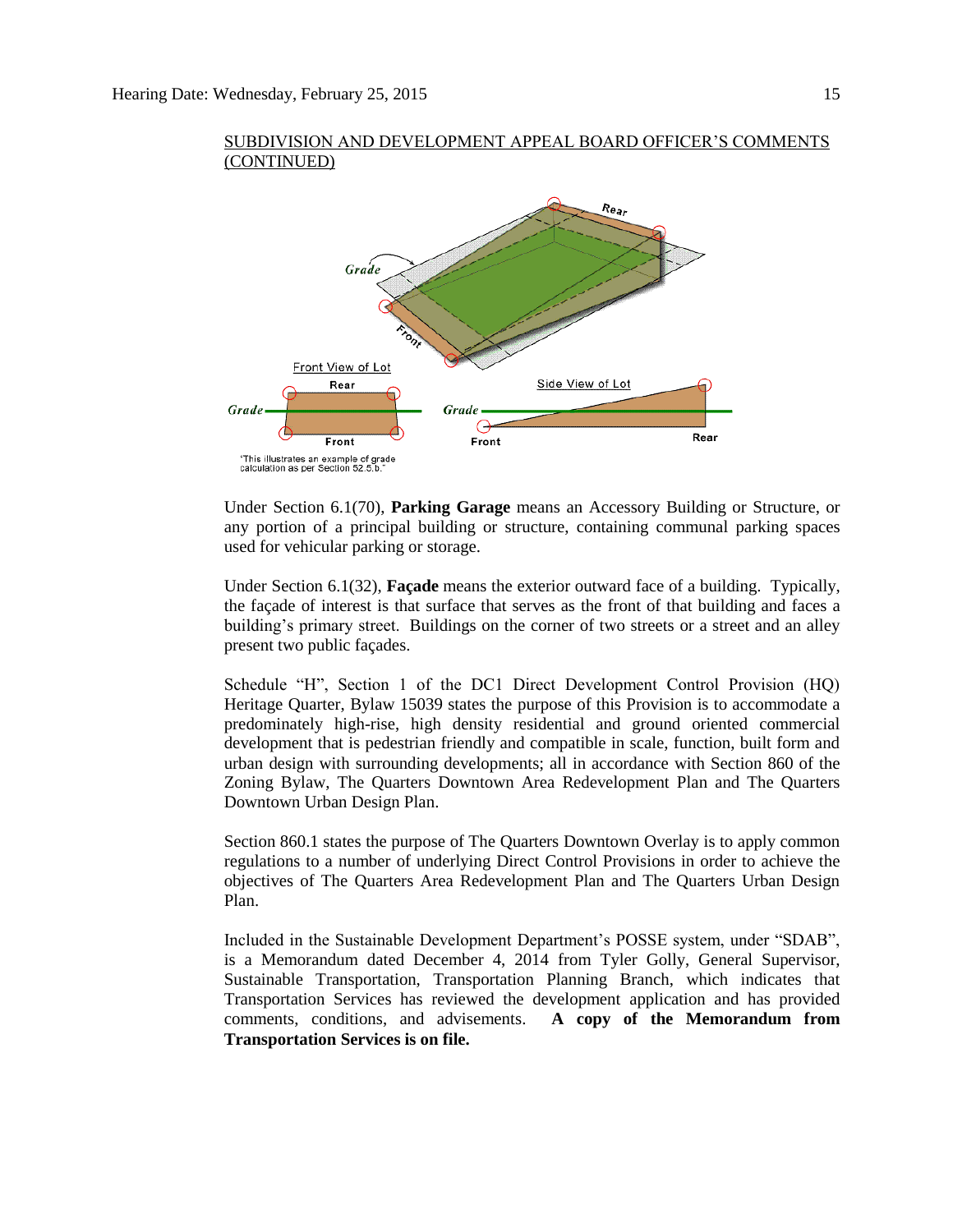

Under Section 6.1(70), **Parking Garage** means an Accessory Building or Structure, or any portion of a principal building or structure, containing communal parking spaces used for vehicular parking or storage.

Under Section 6.1(32), **Façade** means the exterior outward face of a building. Typically, the façade of interest is that surface that serves as the front of that building and faces a building's primary street. Buildings on the corner of two streets or a street and an alley present two public façades.

Schedule "H", Section 1 of the DC1 Direct Development Control Provision (HQ) Heritage Quarter, Bylaw 15039 states the purpose of this Provision is to accommodate a predominately high-rise, high density residential and ground oriented commercial development that is pedestrian friendly and compatible in scale, function, built form and urban design with surrounding developments; all in accordance with Section 860 of the Zoning Bylaw, The Quarters Downtown Area Redevelopment Plan and The Quarters Downtown Urban Design Plan.

Section 860.1 states the purpose of The Quarters Downtown Overlay is to apply common regulations to a number of underlying Direct Control Provisions in order to achieve the objectives of The Quarters Area Redevelopment Plan and The Quarters Urban Design Plan.

Included in the Sustainable Development Department's POSSE system, under "SDAB", is a Memorandum dated December 4, 2014 from Tyler Golly, General Supervisor, Sustainable Transportation, Transportation Planning Branch, which indicates that Transportation Services has reviewed the development application and has provided comments, conditions, and advisements. **A copy of the Memorandum from Transportation Services is on file.**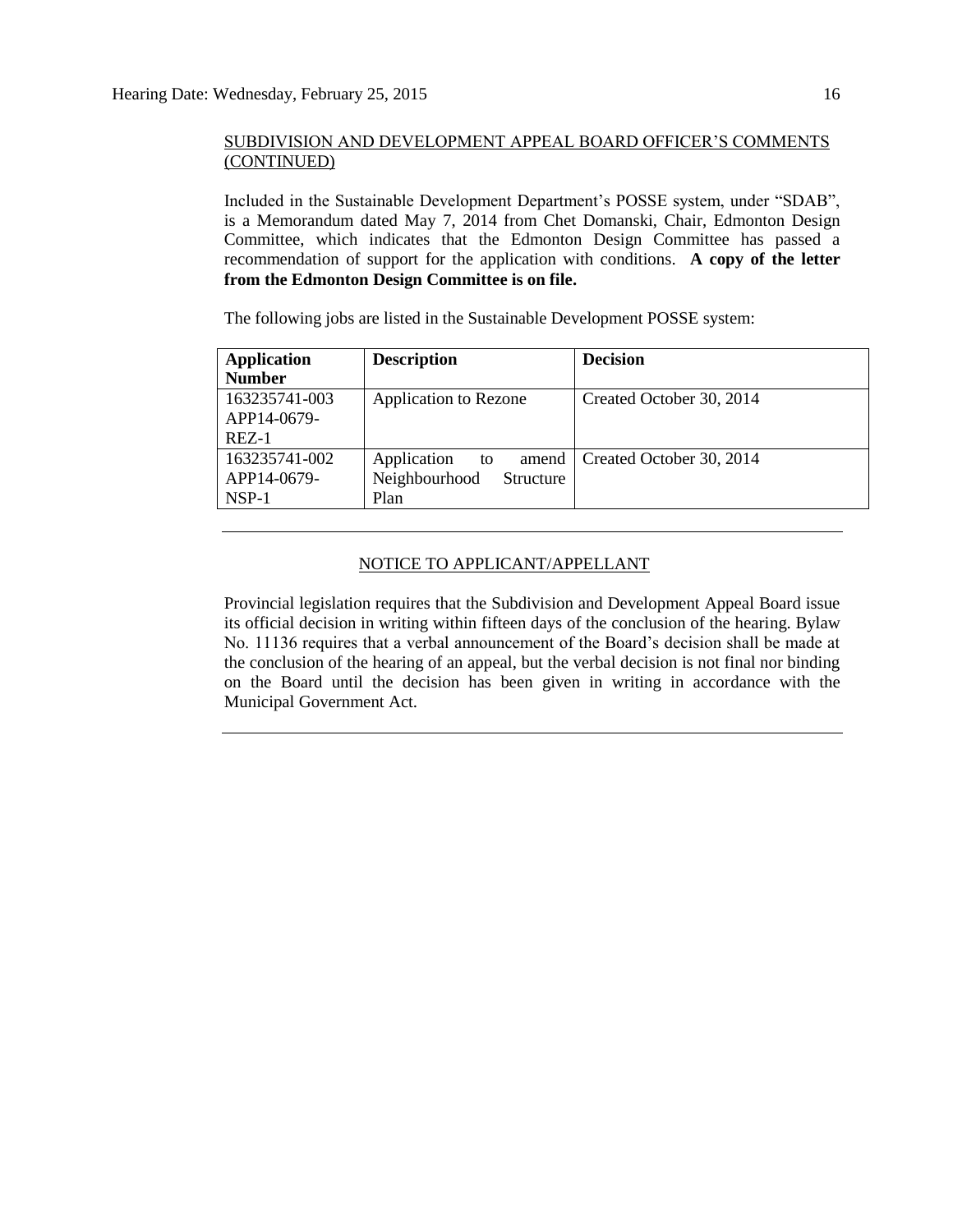Included in the Sustainable Development Department's POSSE system, under "SDAB", is a Memorandum dated May 7, 2014 from Chet Domanski, Chair, Edmonton Design Committee, which indicates that the Edmonton Design Committee has passed a recommendation of support for the application with conditions. **A copy of the letter from the Edmonton Design Committee is on file.**

The following jobs are listed in the Sustainable Development POSSE system:

| <b>Application</b> | <b>Description</b>         | <b>Decision</b>          |
|--------------------|----------------------------|--------------------------|
| <b>Number</b>      |                            |                          |
| 163235741-003      | Application to Rezone      | Created October 30, 2014 |
| APP14-0679-        |                            |                          |
| $REZ-1$            |                            |                          |
| 163235741-002      | Application<br>amend<br>to | Created October 30, 2014 |
| APP14-0679-        | Neighbourhood<br>Structure |                          |
| $NSP-1$            | Plan                       |                          |

## NOTICE TO APPLICANT/APPELLANT

Provincial legislation requires that the Subdivision and Development Appeal Board issue its official decision in writing within fifteen days of the conclusion of the hearing. Bylaw No. 11136 requires that a verbal announcement of the Board's decision shall be made at the conclusion of the hearing of an appeal, but the verbal decision is not final nor binding on the Board until the decision has been given in writing in accordance with the Municipal Government Act.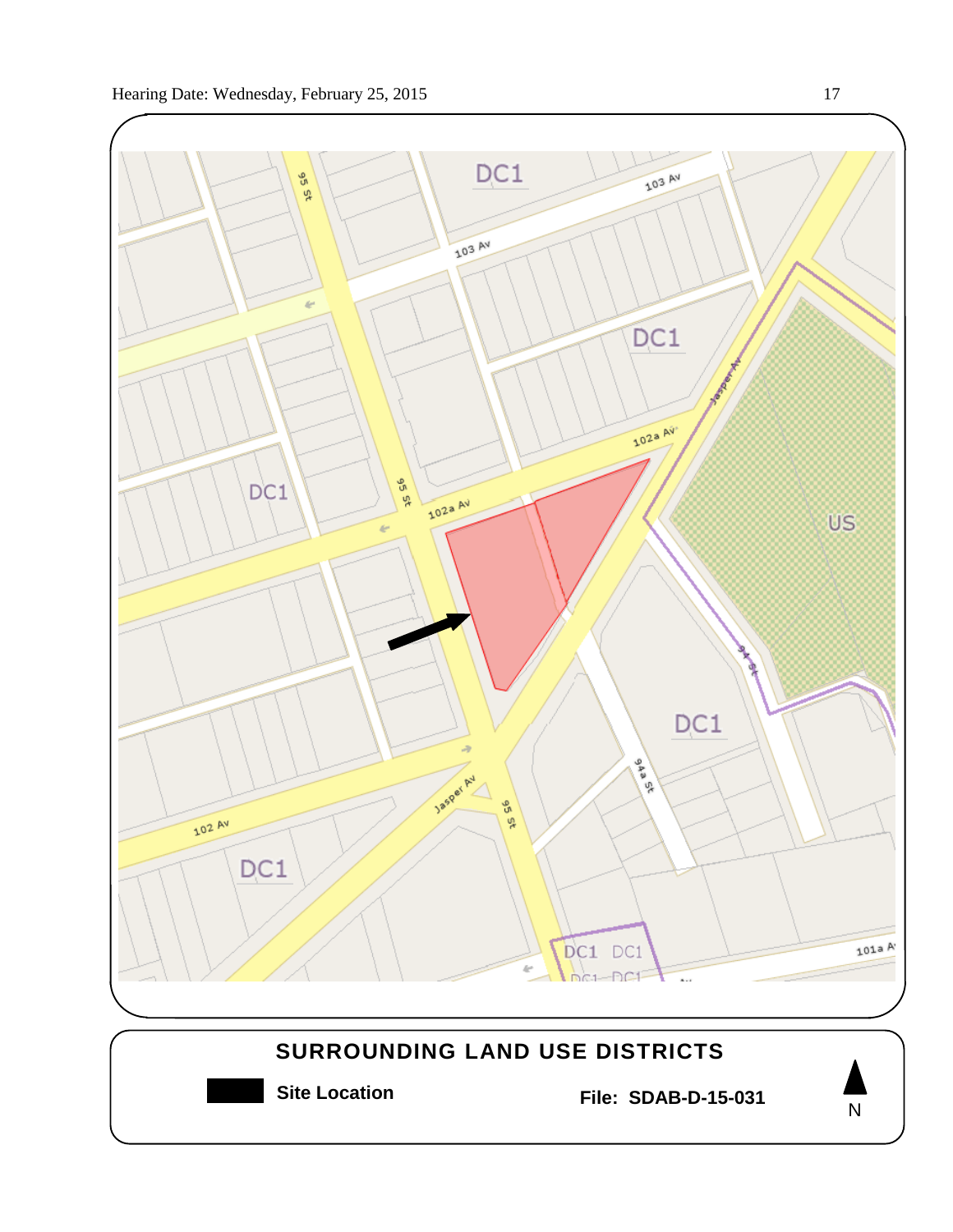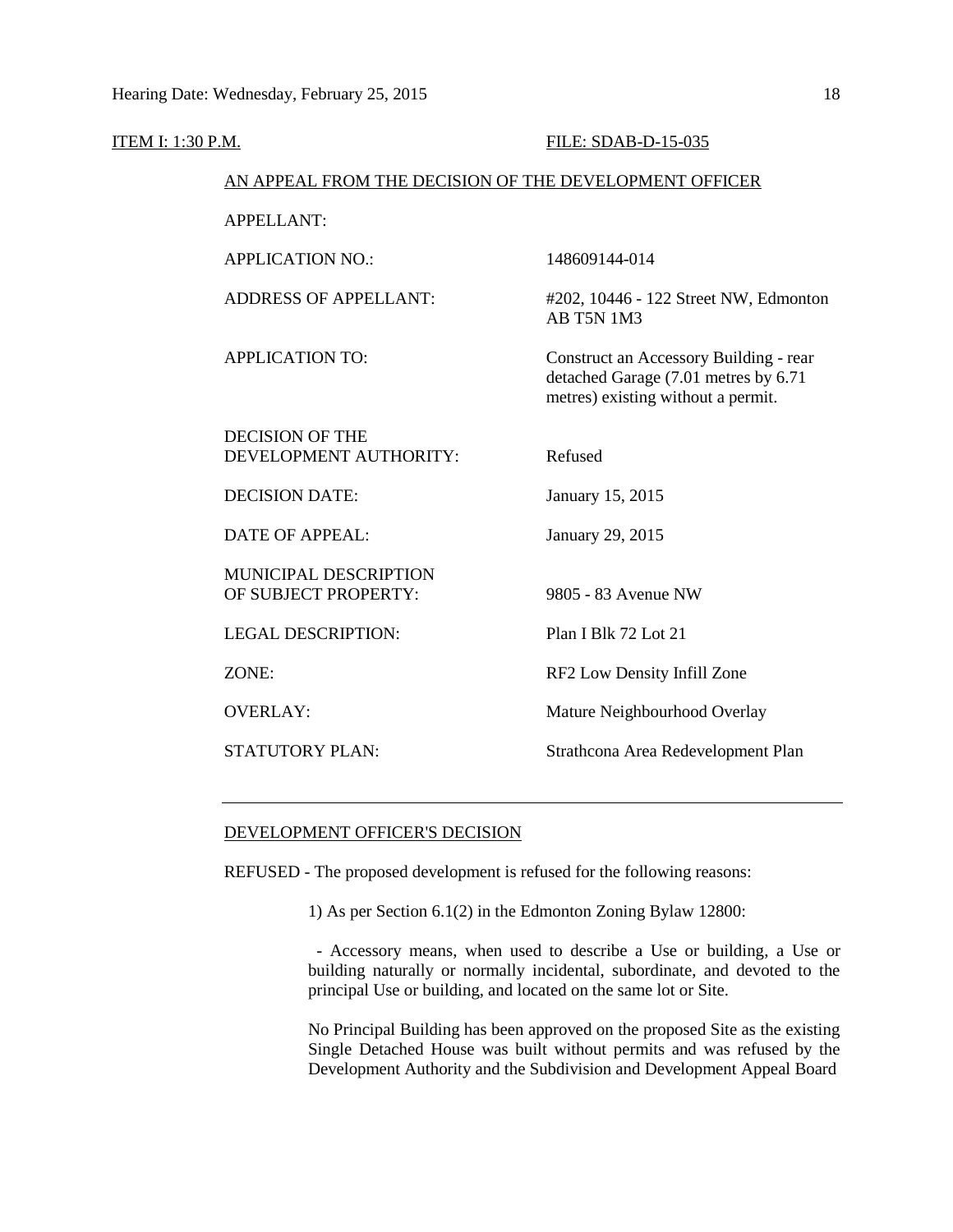| <b>ITEM I: 1:30 P.M.</b> |                                                        | FILE: SDAB-D-15-035                                                                                                  |
|--------------------------|--------------------------------------------------------|----------------------------------------------------------------------------------------------------------------------|
|                          | AN APPEAL FROM THE DECISION OF THE DEVELOPMENT OFFICER |                                                                                                                      |
|                          | <b>APPELLANT:</b>                                      |                                                                                                                      |
|                          | <b>APPLICATION NO.:</b>                                | 148609144-014                                                                                                        |
|                          | <b>ADDRESS OF APPELLANT:</b>                           | #202, 10446 - 122 Street NW, Edmonton<br><b>AB T5N 1M3</b>                                                           |
|                          | <b>APPLICATION TO:</b>                                 | Construct an Accessory Building - rear<br>detached Garage (7.01 metres by 6.71<br>metres) existing without a permit. |
|                          | <b>DECISION OF THE</b><br>DEVELOPMENT AUTHORITY:       | Refused                                                                                                              |
|                          | <b>DECISION DATE:</b>                                  | January 15, 2015                                                                                                     |
|                          | <b>DATE OF APPEAL:</b>                                 | January 29, 2015                                                                                                     |
|                          | MUNICIPAL DESCRIPTION<br>OF SUBJECT PROPERTY:          | 9805 - 83 Avenue NW                                                                                                  |
|                          | <b>LEGAL DESCRIPTION:</b>                              | Plan I Blk 72 Lot 21                                                                                                 |
| ZONE:                    |                                                        | RF2 Low Density Infill Zone                                                                                          |
|                          | <b>OVERLAY:</b>                                        | Mature Neighbourhood Overlay                                                                                         |
|                          | STATUTORY PLAN:                                        | Strathcona Area Redevelopment Plan                                                                                   |

## DEVELOPMENT OFFICER'S DECISION

REFUSED - The proposed development is refused for the following reasons:

1) As per Section 6.1(2) in the Edmonton Zoning Bylaw 12800:

 - Accessory means, when used to describe a Use or building, a Use or building naturally or normally incidental, subordinate, and devoted to the principal Use or building, and located on the same lot or Site.

No Principal Building has been approved on the proposed Site as the existing Single Detached House was built without permits and was refused by the Development Authority and the Subdivision and Development Appeal Board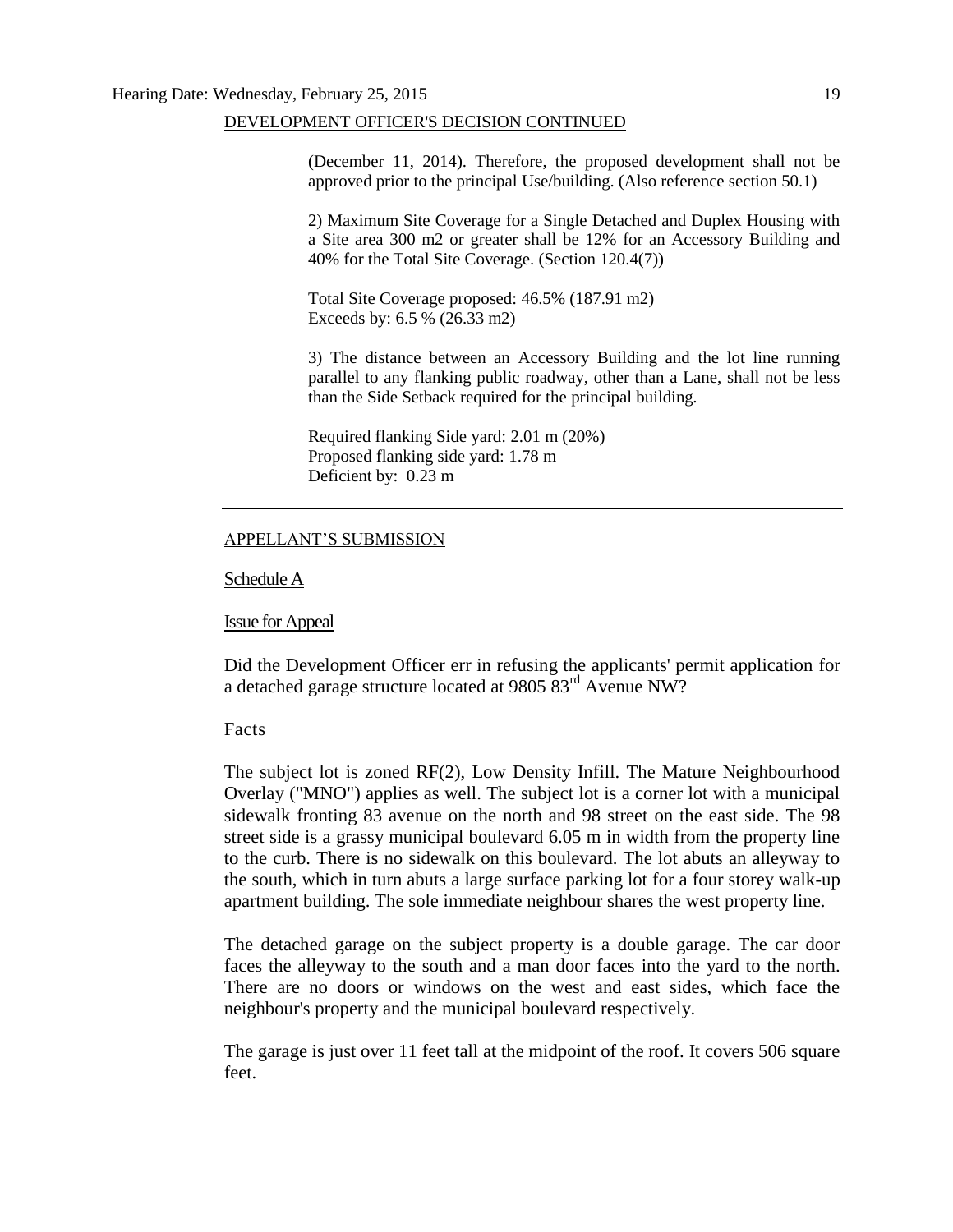(December 11, 2014). Therefore, the proposed development shall not be approved prior to the principal Use/building. (Also reference section 50.1)

2) Maximum Site Coverage for a Single Detached and Duplex Housing with a Site area 300 m2 or greater shall be 12% for an Accessory Building and 40% for the Total Site Coverage. (Section 120.4(7))

Total Site Coverage proposed: 46.5% (187.91 m2) Exceeds by: 6.5 % (26.33 m2)

3) The distance between an Accessory Building and the lot line running parallel to any flanking public roadway, other than a Lane, shall not be less than the Side Setback required for the principal building.

Required flanking Side yard: 2.01 m (20%) Proposed flanking side yard: 1.78 m Deficient by: 0.23 m

#### APPELLANT'S SUBMISSION

#### Schedule A

#### Issue for Appeal

Did the Development Officer err in refusing the applicants' permit application for a detached garage structure located at 9805 83rd Avenue NW?

#### Facts

The subject lot is zoned RF(2), Low Density Infill. The Mature Neighbourhood Overlay ("MNO") applies as well. The subject lot is a corner lot with a municipal sidewalk fronting 83 avenue on the north and 98 street on the east side. The 98 street side is a grassy municipal boulevard 6.05 m in width from the property line to the curb. There is no sidewalk on this boulevard. The lot abuts an alleyway to the south, which in turn abuts a large surface parking lot for a four storey walk-up apartment building. The sole immediate neighbour shares the west property line.

The detached garage on the subject property is a double garage. The car door faces the alleyway to the south and a man door faces into the yard to the north. There are no doors or windows on the west and east sides, which face the neighbour's property and the municipal boulevard respectively.

The garage is just over 11 feet tall at the midpoint of the roof. It covers 506 square feet.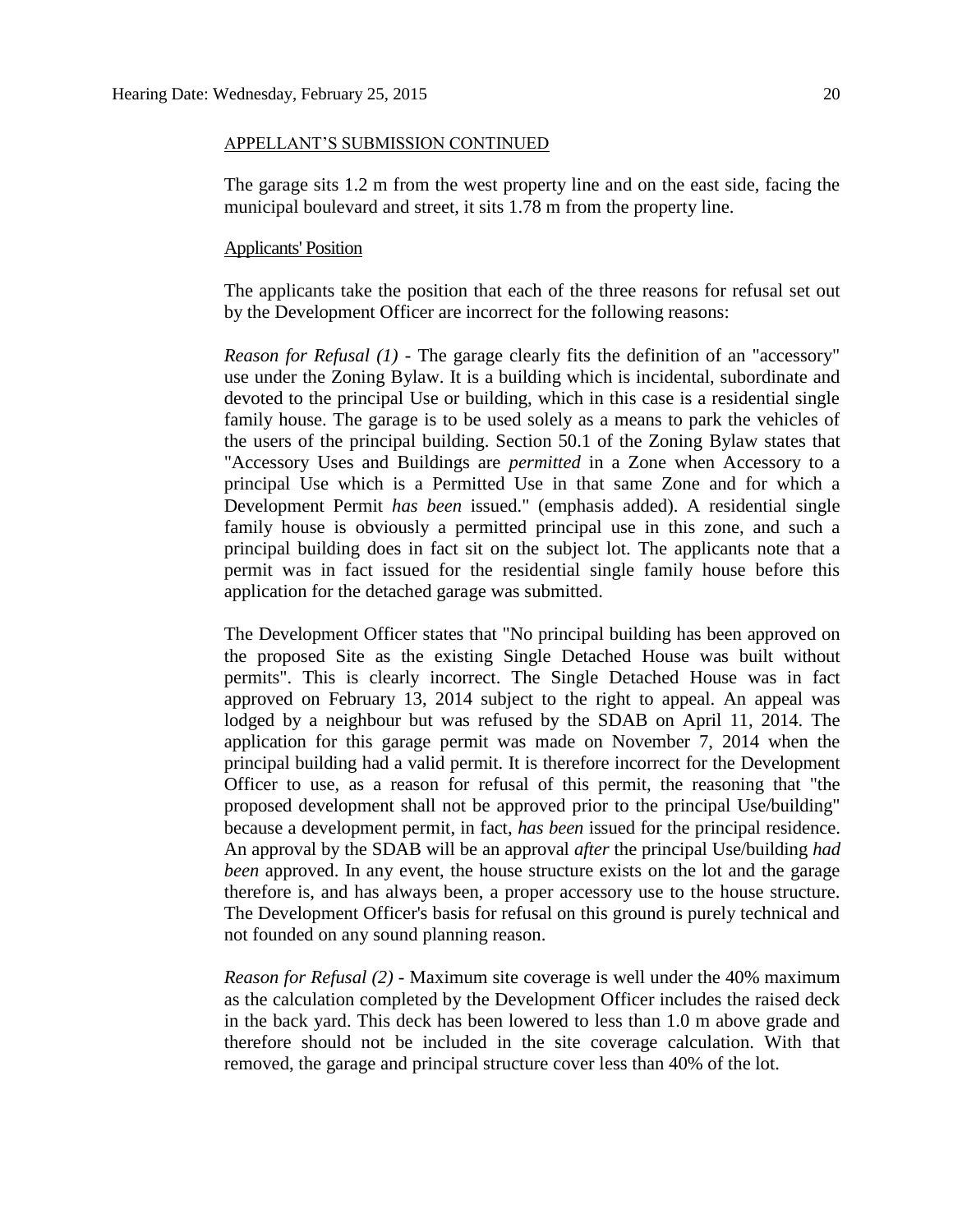#### APPELLANT'S SUBMISSION CONTINUED

The garage sits 1.2 m from the west property line and on the east side, facing the municipal boulevard and street, it sits 1.78 m from the property line.

## Applicants' Position

The applicants take the position that each of the three reasons for refusal set out by the Development Officer are incorrect for the following reasons:

*Reason for Refusal (1) -* The garage clearly fits the definition of an "accessory" use under the Zoning Bylaw. It is a building which is incidental, subordinate and devoted to the principal Use or building, which in this case is a residential single family house. The garage is to be used solely as a means to park the vehicles of the users of the principal building. Section 50.1 of the Zoning Bylaw states that "Accessory Uses and Buildings are *permitted* in a Zone when Accessory to a principal Use which is a Permitted Use in that same Zone and for which a Development Permit *has been* issued." (emphasis added). A residential single family house is obviously a permitted principal use in this zone, and such a principal building does in fact sit on the subject lot. The applicants note that a permit was in fact issued for the residential single family house before this application for the detached garage was submitted.

The Development Officer states that "No principal building has been approved on the proposed Site as the existing Single Detached House was built without permits". This is clearly incorrect. The Single Detached House was in fact approved on February 13, 2014 subject to the right to appeal. An appeal was lodged by a neighbour but was refused by the SDAB on April 11, 2014. The application for this garage permit was made on November 7, 2014 when the principal building had a valid permit. It is therefore incorrect for the Development Officer to use, as a reason for refusal of this permit, the reasoning that "the proposed development shall not be approved prior to the principal Use/building" because a development permit, in fact, *has been* issued for the principal residence. An approval by the SDAB will be an approval *after* the principal Use/building *had been* approved. In any event, the house structure exists on the lot and the garage therefore is, and has always been, a proper accessory use to the house structure. The Development Officer's basis for refusal on this ground is purely technical and not founded on any sound planning reason.

*Reason for Refusal (2) -* Maximum site coverage is well under the 40% maximum as the calculation completed by the Development Officer includes the raised deck in the back yard. This deck has been lowered to less than 1.0 m above grade and therefore should not be included in the site coverage calculation. With that removed, the garage and principal structure cover less than 40% of the lot.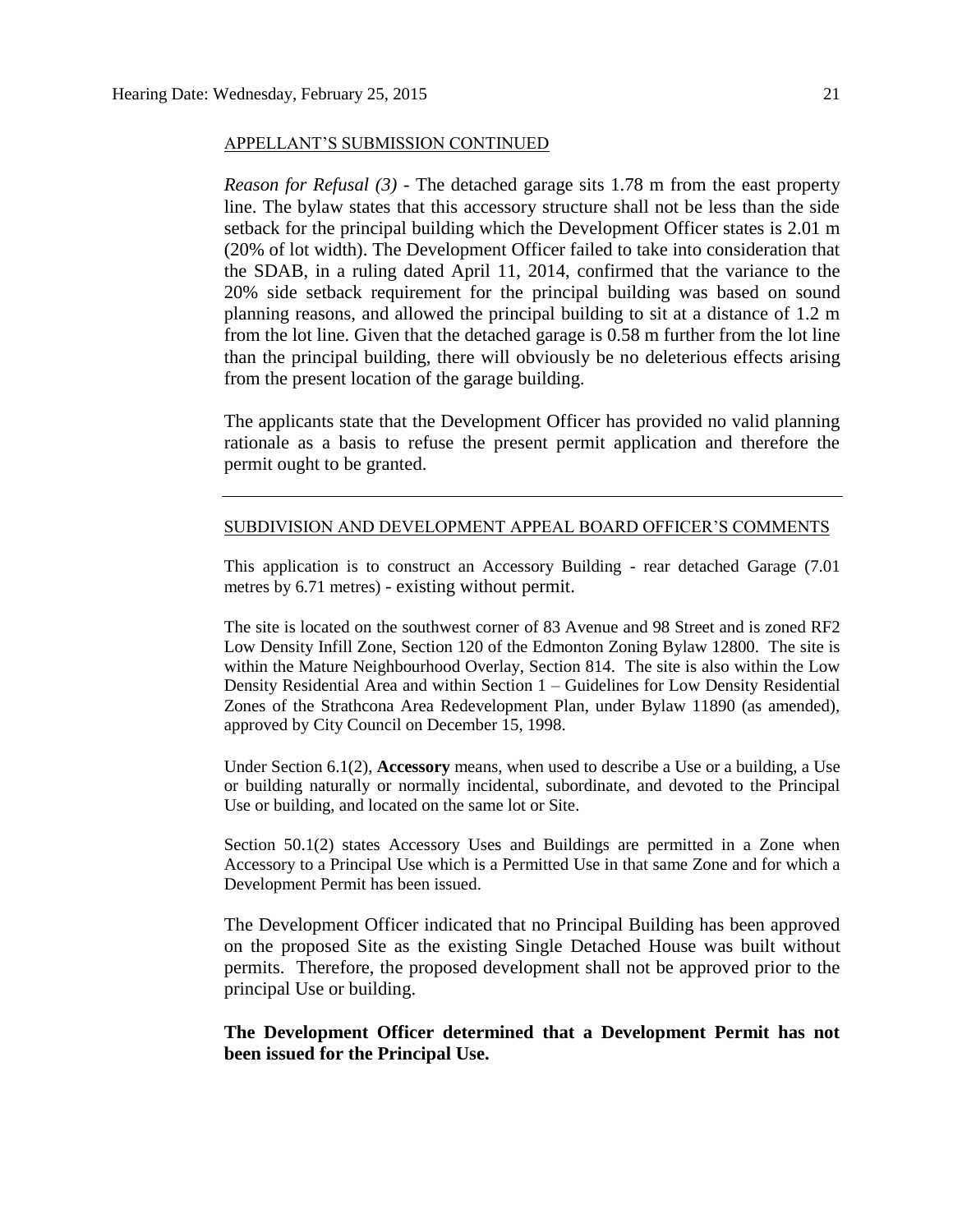#### APPELLANT'S SUBMISSION CONTINUED

*Reason for Refusal (3) -* The detached garage sits 1.78 m from the east property line. The bylaw states that this accessory structure shall not be less than the side setback for the principal building which the Development Officer states is 2.01 m (20% of lot width). The Development Officer failed to take into consideration that the SDAB, in a ruling dated April 11, 2014, confirmed that the variance to the 20% side setback requirement for the principal building was based on sound planning reasons, and allowed the principal building to sit at a distance of 1.2 m from the lot line. Given that the detached garage is 0.58 m further from the lot line than the principal building, there will obviously be no deleterious effects arising from the present location of the garage building.

The applicants state that the Development Officer has provided no valid planning rationale as a basis to refuse the present permit application and therefore the permit ought to be granted.

#### SUBDIVISION AND DEVELOPMENT APPEAL BOARD OFFICER'S COMMENTS

This application is to construct an Accessory Building - rear detached Garage (7.01 metres by 6.71 metres) - existing without permit.

The site is located on the southwest corner of 83 Avenue and 98 Street and is zoned RF2 Low Density Infill Zone, Section 120 of the Edmonton Zoning Bylaw 12800. The site is within the Mature Neighbourhood Overlay, Section 814. The site is also within the Low Density Residential Area and within Section 1 – Guidelines for Low Density Residential Zones of the Strathcona Area Redevelopment Plan, under Bylaw 11890 (as amended), approved by City Council on December 15, 1998.

Under Section 6.1(2), **Accessory** means, when used to describe a Use or a building, a Use or building naturally or normally incidental, subordinate, and devoted to the Principal Use or building, and located on the same lot or Site.

Section 50.1(2) states Accessory Uses and Buildings are permitted in a Zone when Accessory to a Principal Use which is a Permitted Use in that same Zone and for which a Development Permit has been issued.

The Development Officer indicated that no Principal Building has been approved on the proposed Site as the existing Single Detached House was built without permits. Therefore, the proposed development shall not be approved prior to the principal Use or building.

**The Development Officer determined that a Development Permit has not been issued for the Principal Use.**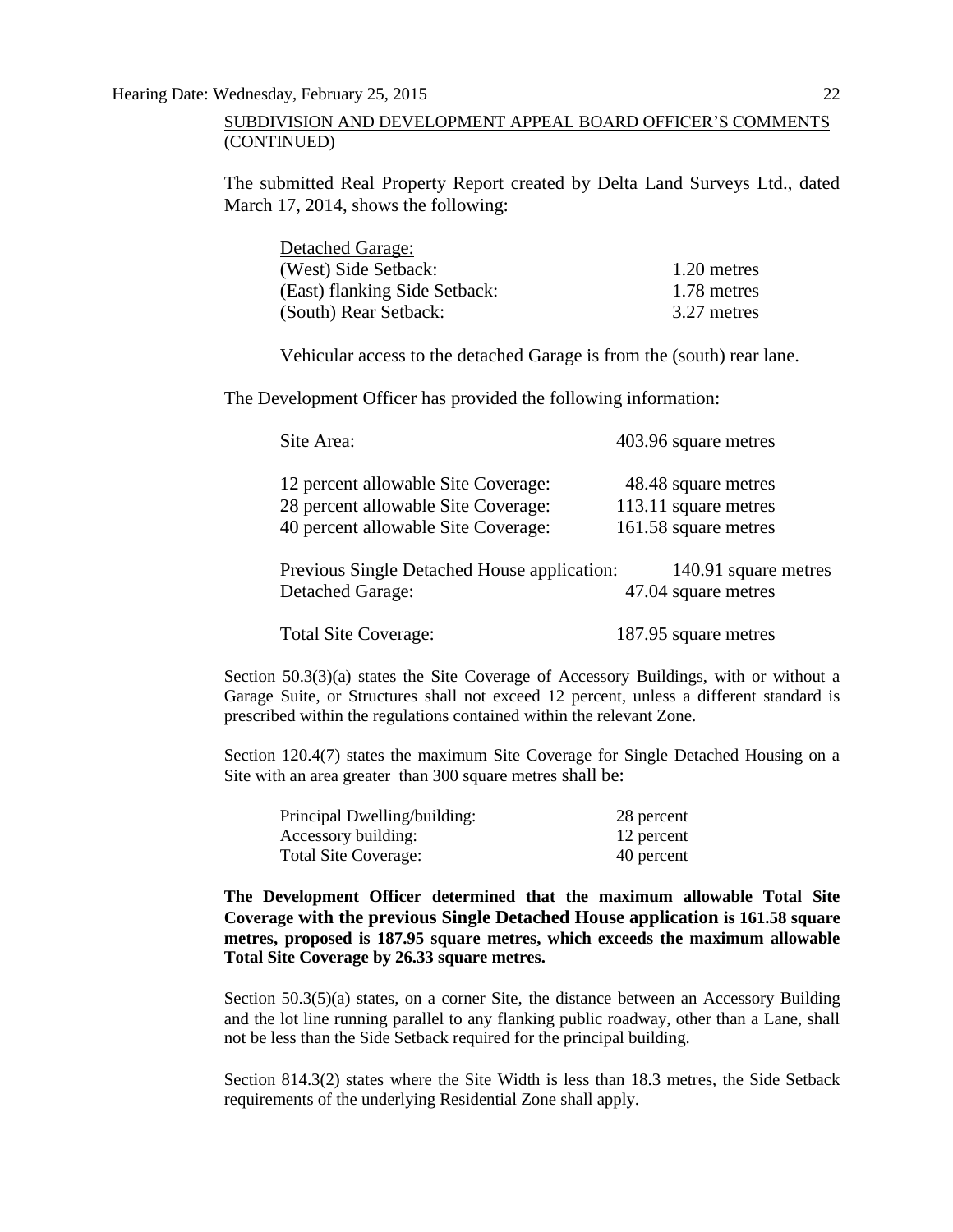The submitted Real Property Report created by Delta Land Surveys Ltd., dated March 17, 2014, shows the following:

| <b>Detached Garage:</b>       |             |
|-------------------------------|-------------|
| (West) Side Setback:          | 1.20 metres |
| (East) flanking Side Setback: | 1.78 metres |
| (South) Rear Setback:         | 3.27 metres |

Vehicular access to the detached Garage is from the (south) rear lane.

The Development Officer has provided the following information:

| Site Area:                                                                                                        | 403.96 square metres                                                |
|-------------------------------------------------------------------------------------------------------------------|---------------------------------------------------------------------|
| 12 percent allowable Site Coverage:<br>28 percent allowable Site Coverage:<br>40 percent allowable Site Coverage: | 48.48 square metres<br>113.11 square metres<br>161.58 square metres |
| Previous Single Detached House application:<br><b>Detached Garage:</b>                                            | 140.91 square metres<br>47.04 square metres                         |
| <b>Total Site Coverage:</b>                                                                                       | 187.95 square metres                                                |

Section 50.3(3)(a) states the Site Coverage of Accessory Buildings, with or without a Garage Suite, or Structures shall not exceed 12 percent, unless a different standard is prescribed within the regulations contained within the relevant Zone.

Section 120.4(7) states the maximum Site Coverage for Single Detached Housing on a Site with an area greater than 300 square metres shall be:

| Principal Dwelling/building: | 28 percent |
|------------------------------|------------|
| Accessory building:          | 12 percent |
| Total Site Coverage:         | 40 percent |

**The Development Officer determined that the maximum allowable Total Site Coverage with the previous Single Detached House application is 161.58 square metres, proposed is 187.95 square metres, which exceeds the maximum allowable Total Site Coverage by 26.33 square metres.**

Section 50.3(5)(a) states, on a corner Site, the distance between an Accessory Building and the lot line running parallel to any flanking public roadway, other than a Lane, shall not be less than the Side Setback required for the principal building.

Section 814.3(2) states where the Site Width is less than 18.3 metres, the Side Setback requirements of the underlying Residential Zone shall apply.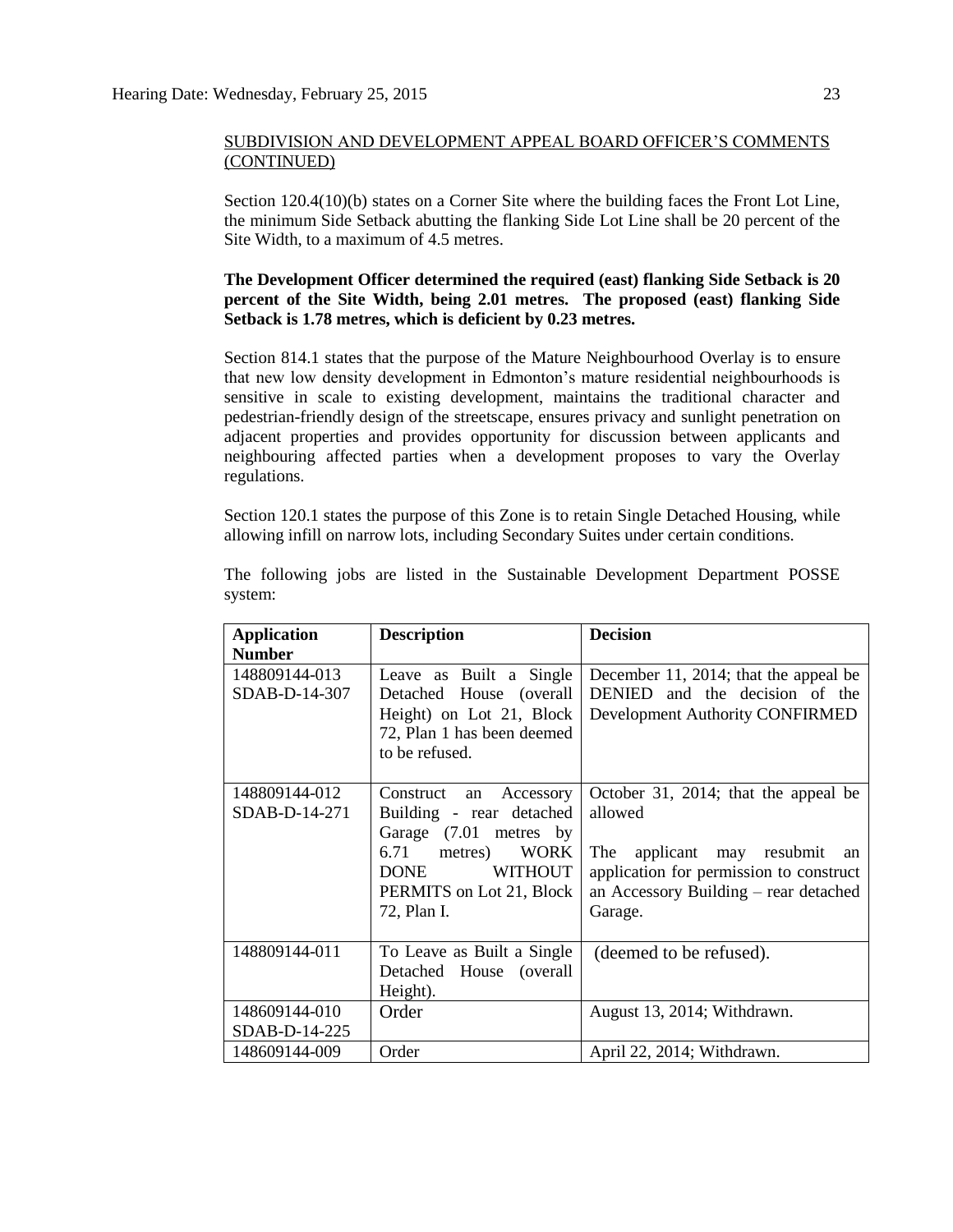Section 120.4(10)(b) states on a Corner Site where the building faces the Front Lot Line, the minimum Side Setback abutting the flanking Side Lot Line shall be 20 percent of the Site Width, to a maximum of 4.5 metres.

## **The Development Officer determined the required (east) flanking Side Setback is 20 percent of the Site Width, being 2.01 metres. The proposed (east) flanking Side Setback is 1.78 metres, which is deficient by 0.23 metres.**

Section 814.1 states that the purpose of the Mature Neighbourhood Overlay is to ensure that new low density development in Edmonton's mature residential neighbourhoods is sensitive in scale to existing development, maintains the traditional character and pedestrian-friendly design of the streetscape, ensures privacy and sunlight penetration on adjacent properties and provides opportunity for discussion between applicants and neighbouring affected parties when a development proposes to vary the Overlay regulations.

Section 120.1 states the purpose of this Zone is to retain Single Detached Housing, while allowing infill on narrow lots, including Secondary Suites under certain conditions.

| <b>Application</b><br><b>Number</b> | <b>Description</b>                                                                                                                                                        | <b>Decision</b>                                                                                                                                                                    |
|-------------------------------------|---------------------------------------------------------------------------------------------------------------------------------------------------------------------------|------------------------------------------------------------------------------------------------------------------------------------------------------------------------------------|
| 148809144-013<br>SDAB-D-14-307      | Leave as Built a Single<br>Detached House (overall<br>Height) on Lot 21, Block<br>72, Plan 1 has been deemed<br>to be refused.                                            | December 11, 2014; that the appeal be<br>DENIED and the decision of the<br>Development Authority CONFIRMED                                                                         |
| 148809144-012<br>SDAB-D-14-271      | Construct<br>an Accessory<br>Building - rear detached<br>Garage (7.01 metres by<br>6.71 metres) WORK<br><b>WITHOUT</b><br>DONE<br>PERMITS on Lot 21, Block<br>72, Plan I. | October 31, 2014; that the appeal be<br>allowed<br>applicant may resubmit an<br>The<br>application for permission to construct<br>an Accessory Building – rear detached<br>Garage. |
| 148809144-011                       | To Leave as Built a Single<br>Detached House (overall<br>Height).                                                                                                         | (deemed to be refused).                                                                                                                                                            |
| 148609144-010<br>SDAB-D-14-225      | Order                                                                                                                                                                     | August 13, 2014; Withdrawn.                                                                                                                                                        |
| 148609144-009                       | Order                                                                                                                                                                     | April 22, 2014; Withdrawn.                                                                                                                                                         |

The following jobs are listed in the Sustainable Development Department POSSE system: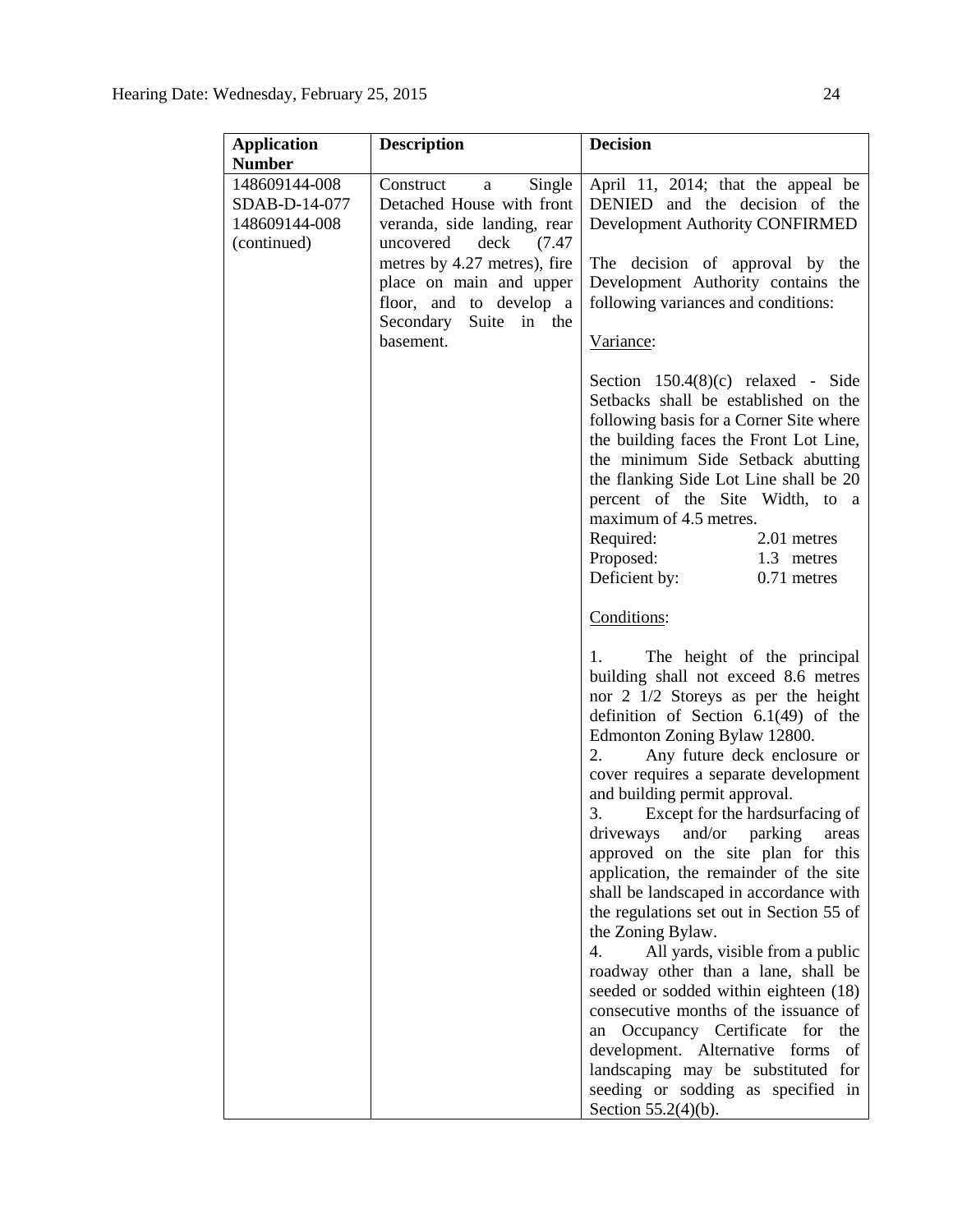| <b>Application</b> | <b>Description</b>           | <b>Decision</b>                                                              |
|--------------------|------------------------------|------------------------------------------------------------------------------|
| <b>Number</b>      |                              |                                                                              |
| 148609144-008      | Construct a<br>Single        | April 11, 2014; that the appeal be                                           |
| SDAB-D-14-077      | Detached House with front    | DENIED and the decision of the                                               |
| 148609144-008      | veranda, side landing, rear  | Development Authority CONFIRMED                                              |
| (continued)        | uncovered<br>deck<br>(7.47)  |                                                                              |
|                    | metres by 4.27 metres), fire | The decision of approval by the                                              |
|                    | place on main and upper      | Development Authority contains the                                           |
|                    | floor, and to develop a      | following variances and conditions:                                          |
|                    | Secondary Suite in the       |                                                                              |
|                    | basement.                    | Variance:                                                                    |
|                    |                              |                                                                              |
|                    |                              | Section $150.4(8)(c)$ relaxed - Side                                         |
|                    |                              | Setbacks shall be established on the                                         |
|                    |                              | following basis for a Corner Site where                                      |
|                    |                              | the building faces the Front Lot Line,                                       |
|                    |                              | the minimum Side Setback abutting                                            |
|                    |                              | the flanking Side Lot Line shall be 20                                       |
|                    |                              | percent of the Site Width, to a                                              |
|                    |                              | maximum of 4.5 metres.                                                       |
|                    |                              | Required:<br>2.01 metres                                                     |
|                    |                              | Proposed:<br>1.3 metres                                                      |
|                    |                              | Deficient by:<br>0.71 metres                                                 |
|                    |                              | Conditions:                                                                  |
|                    |                              |                                                                              |
|                    |                              | The height of the principal<br>1.                                            |
|                    |                              | building shall not exceed 8.6 metres                                         |
|                    |                              | nor 2 1/2 Storeys as per the height                                          |
|                    |                              | definition of Section $6.1(49)$ of the                                       |
|                    |                              | Edmonton Zoning Bylaw 12800.                                                 |
|                    |                              | Any future deck enclosure or<br>2.                                           |
|                    |                              | cover requires a separate development                                        |
|                    |                              | and building permit approval.                                                |
|                    |                              | 3. Except for the hardsurfacing of                                           |
|                    |                              | driveways and/or parking areas                                               |
|                    |                              | approved on the site plan for this                                           |
|                    |                              | application, the remainder of the site                                       |
|                    |                              | shall be landscaped in accordance with                                       |
|                    |                              | the regulations set out in Section 55 of                                     |
|                    |                              | the Zoning Bylaw.<br>4.                                                      |
|                    |                              | All yards, visible from a public                                             |
|                    |                              | roadway other than a lane, shall be<br>seeded or sodded within eighteen (18) |
|                    |                              | consecutive months of the issuance of                                        |
|                    |                              | Occupancy Certificate for the<br>an                                          |
|                    |                              | development. Alternative forms<br>of                                         |
|                    |                              | landscaping may be substituted for                                           |
|                    |                              | seeding or sodding as specified in                                           |
|                    |                              | Section 55.2(4)(b).                                                          |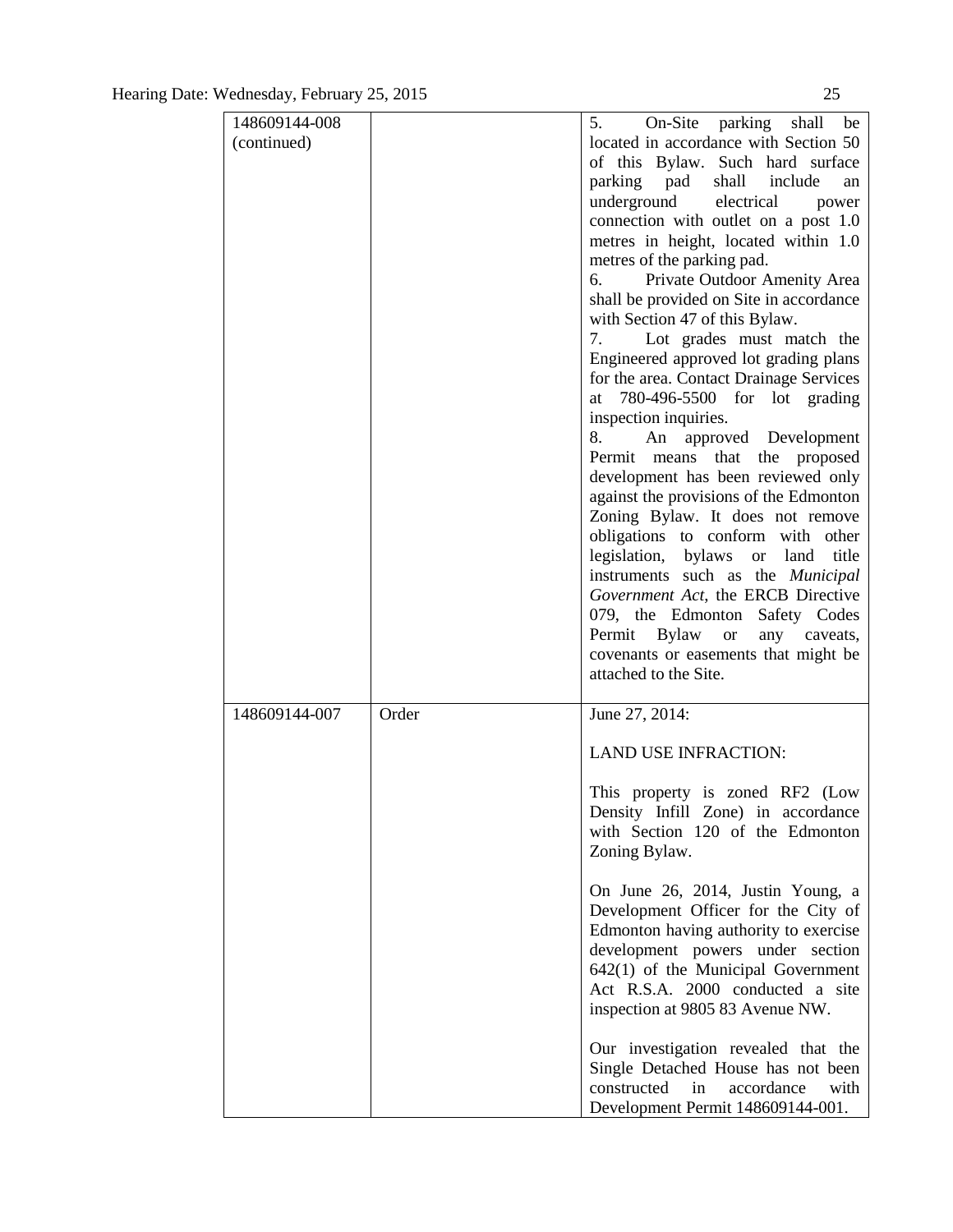| 148609144-008 |       | 5. On-Site parking shall be                   |
|---------------|-------|-----------------------------------------------|
| (continued)   |       | located in accordance with Section 50         |
|               |       | of this Bylaw. Such hard surface              |
|               |       | parking pad shall include<br>an               |
|               |       | underground electrical<br>power               |
|               |       | connection with outlet on a post 1.0          |
|               |       | metres in height, located within 1.0          |
|               |       | metres of the parking pad.                    |
|               |       | Private Outdoor Amenity Area<br>6.            |
|               |       | shall be provided on Site in accordance       |
|               |       | with Section 47 of this Bylaw.                |
|               |       | Lot grades must match the<br>7.               |
|               |       | Engineered approved lot grading plans         |
|               |       | for the area. Contact Drainage Services       |
|               |       | 780-496-5500 for lot grading<br>at            |
|               |       | inspection inquiries.                         |
|               |       | 8.<br>An approved Development                 |
|               |       | Permit means that the proposed                |
|               |       | development has been reviewed only            |
|               |       | against the provisions of the Edmonton        |
|               |       | Zoning Bylaw. It does not remove              |
|               |       | obligations to conform with other             |
|               |       | legislation, bylaws or land<br>title          |
|               |       | instruments such as the <i>Municipal</i>      |
|               |       | Government Act, the ERCB Directive            |
|               |       | 079, the Edmonton Safety Codes                |
|               |       | Permit Bylaw<br><sub>or</sub><br>any caveats, |
|               |       | covenants or easements that might be          |
|               |       | attached to the Site.                         |
|               |       |                                               |
| 148609144-007 | Order | June 27, 2014:                                |
|               |       | <b>LAND USE INFRACTION:</b>                   |
|               |       | This property is zoned RF2 (Low               |
|               |       | Density Infill Zone) in accordance            |
|               |       | with Section 120 of the Edmonton              |
|               |       | Zoning Bylaw.                                 |
|               |       |                                               |
|               |       | On June 26, 2014, Justin Young, a             |
|               |       | Development Officer for the City of           |
|               |       | Edmonton having authority to exercise         |
|               |       | development powers under section              |
|               |       | $642(1)$ of the Municipal Government          |
|               |       | Act R.S.A. 2000 conducted a site              |
|               |       | inspection at 9805 83 Avenue NW.              |
|               |       |                                               |
|               |       | Our investigation revealed that the           |
|               |       | Single Detached House has not been            |
|               |       | constructed<br>in<br>accordance<br>with       |
|               |       | Development Permit 148609144-001.             |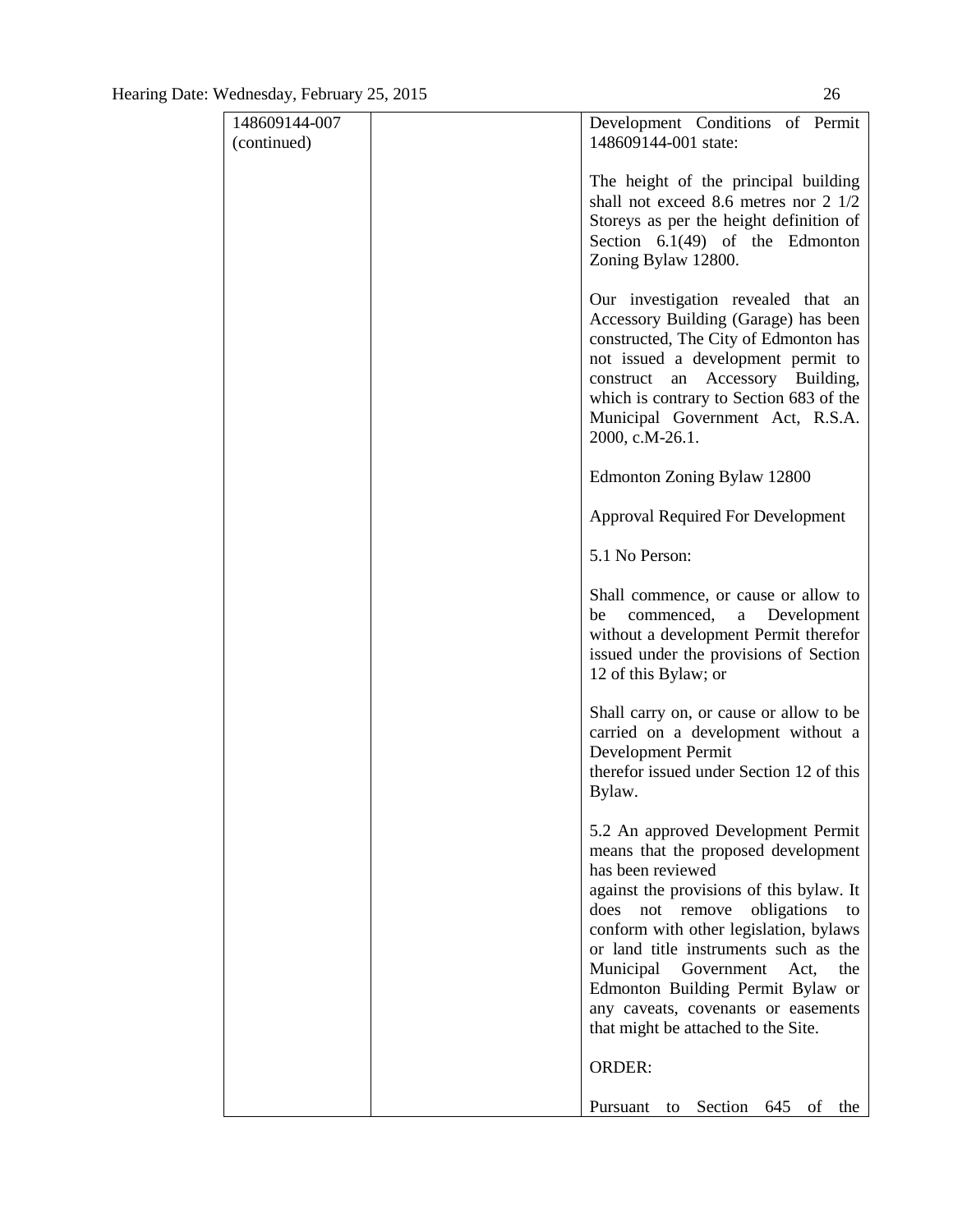| 148609144-007<br>(continued) | Development Conditions of Permit<br>148609144-001 state:                                                                                                                                                                                                                                                                                                                                                                           |
|------------------------------|------------------------------------------------------------------------------------------------------------------------------------------------------------------------------------------------------------------------------------------------------------------------------------------------------------------------------------------------------------------------------------------------------------------------------------|
|                              | The height of the principal building<br>shall not exceed 8.6 metres nor 2 1/2<br>Storeys as per the height definition of<br>Section $6.1(49)$ of the Edmonton<br>Zoning Bylaw 12800.                                                                                                                                                                                                                                               |
|                              | Our investigation revealed that an<br>Accessory Building (Garage) has been<br>constructed, The City of Edmonton has<br>not issued a development permit to<br>Accessory Building,<br>an<br>construct<br>which is contrary to Section 683 of the<br>Municipal Government Act, R.S.A.<br>2000, c.M-26.1.                                                                                                                              |
|                              | Edmonton Zoning Bylaw 12800                                                                                                                                                                                                                                                                                                                                                                                                        |
|                              | <b>Approval Required For Development</b>                                                                                                                                                                                                                                                                                                                                                                                           |
|                              | 5.1 No Person:                                                                                                                                                                                                                                                                                                                                                                                                                     |
|                              | Shall commence, or cause or allow to<br>commenced, a Development<br>be<br>without a development Permit therefor<br>issued under the provisions of Section<br>12 of this Bylaw; or                                                                                                                                                                                                                                                  |
|                              | Shall carry on, or cause or allow to be<br>carried on a development without a<br>Development Permit<br>therefor issued under Section 12 of this<br>Bylaw.                                                                                                                                                                                                                                                                          |
|                              | 5.2 An approved Development Permit<br>means that the proposed development<br>has been reviewed<br>against the provisions of this bylaw. It<br>obligations<br>does<br>remove<br>not<br>to<br>conform with other legislation, bylaws<br>or land title instruments such as the<br>Municipal Government Act,<br>the<br>Edmonton Building Permit Bylaw or<br>any caveats, covenants or easements<br>that might be attached to the Site. |
|                              | <b>ORDER:</b>                                                                                                                                                                                                                                                                                                                                                                                                                      |
|                              | Pursuant<br>Section<br>645<br>of<br>the<br>to                                                                                                                                                                                                                                                                                                                                                                                      |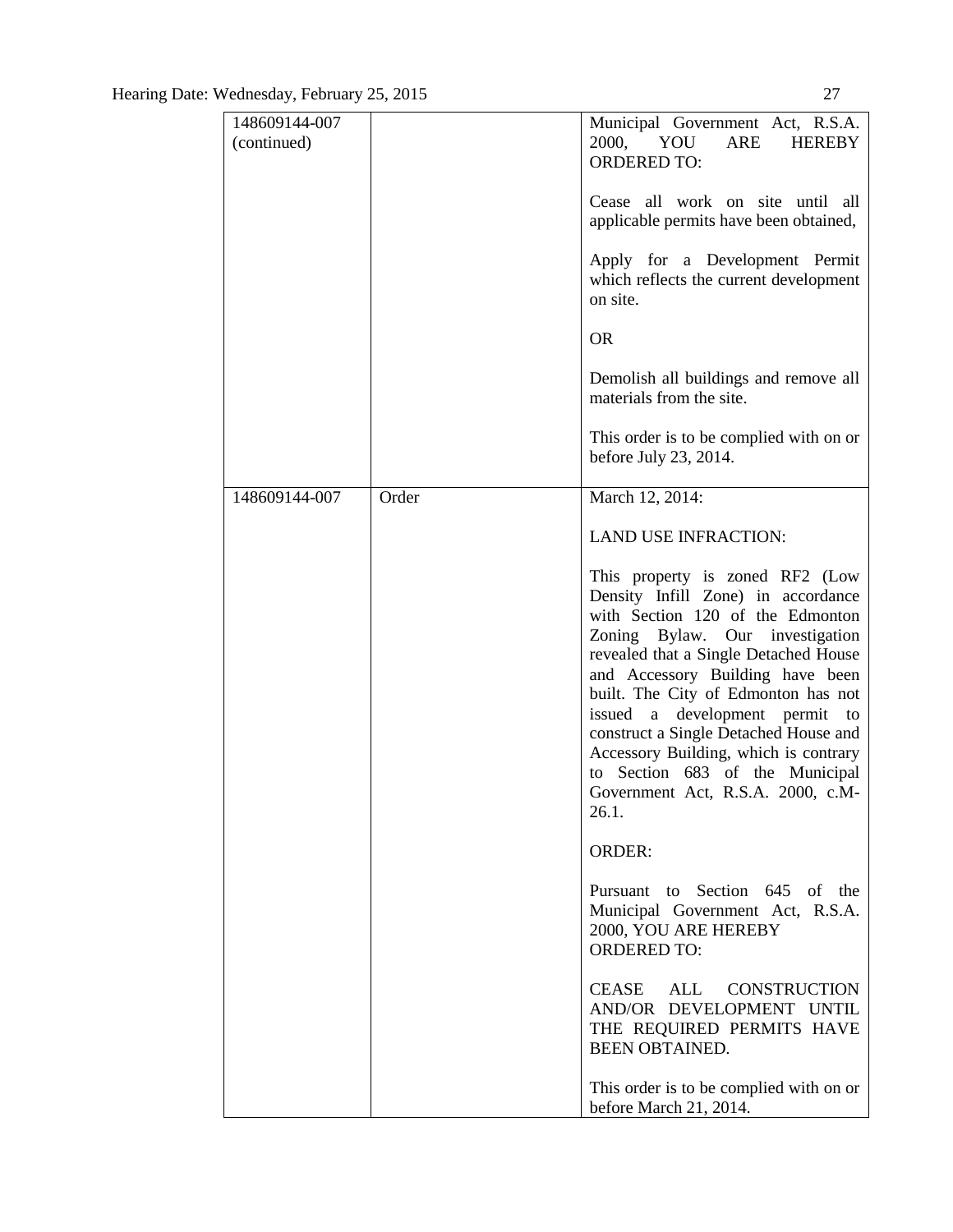| 148609144-007<br>(continued) |       | Municipal Government Act, R.S.A.<br>2000, YOU<br>ARE<br><b>HEREBY</b><br><b>ORDERED TO:</b>                                                                                                                                                                                                                                                                                                                                                                              |
|------------------------------|-------|--------------------------------------------------------------------------------------------------------------------------------------------------------------------------------------------------------------------------------------------------------------------------------------------------------------------------------------------------------------------------------------------------------------------------------------------------------------------------|
|                              |       | Cease all work on site until all<br>applicable permits have been obtained,                                                                                                                                                                                                                                                                                                                                                                                               |
|                              |       | Apply for a Development Permit<br>which reflects the current development<br>on site.                                                                                                                                                                                                                                                                                                                                                                                     |
|                              |       | <b>OR</b>                                                                                                                                                                                                                                                                                                                                                                                                                                                                |
|                              |       | Demolish all buildings and remove all<br>materials from the site.                                                                                                                                                                                                                                                                                                                                                                                                        |
|                              |       | This order is to be complied with on or<br>before July 23, 2014.                                                                                                                                                                                                                                                                                                                                                                                                         |
| 148609144-007                | Order | March 12, 2014:                                                                                                                                                                                                                                                                                                                                                                                                                                                          |
|                              |       | <b>LAND USE INFRACTION:</b>                                                                                                                                                                                                                                                                                                                                                                                                                                              |
|                              |       | This property is zoned RF2 (Low<br>Density Infill Zone) in accordance<br>with Section 120 of the Edmonton<br>Zoning Bylaw. Our investigation<br>revealed that a Single Detached House<br>and Accessory Building have been<br>built. The City of Edmonton has not<br>issued a development permit<br>to<br>construct a Single Detached House and<br>Accessory Building, which is contrary<br>to Section 683 of the Municipal<br>Government Act, R.S.A. 2000, c.M-<br>26.1. |
|                              |       | <b>ORDER:</b>                                                                                                                                                                                                                                                                                                                                                                                                                                                            |
|                              |       | Pursuant to Section 645 of the<br>Municipal Government Act, R.S.A.<br>2000, YOU ARE HEREBY<br><b>ORDERED TO:</b>                                                                                                                                                                                                                                                                                                                                                         |
|                              |       | CEASE ALL<br><b>CONSTRUCTION</b><br>AND/OR DEVELOPMENT UNTIL<br>THE REQUIRED PERMITS HAVE<br><b>BEEN OBTAINED.</b>                                                                                                                                                                                                                                                                                                                                                       |
|                              |       | This order is to be complied with on or<br>before March 21, 2014.                                                                                                                                                                                                                                                                                                                                                                                                        |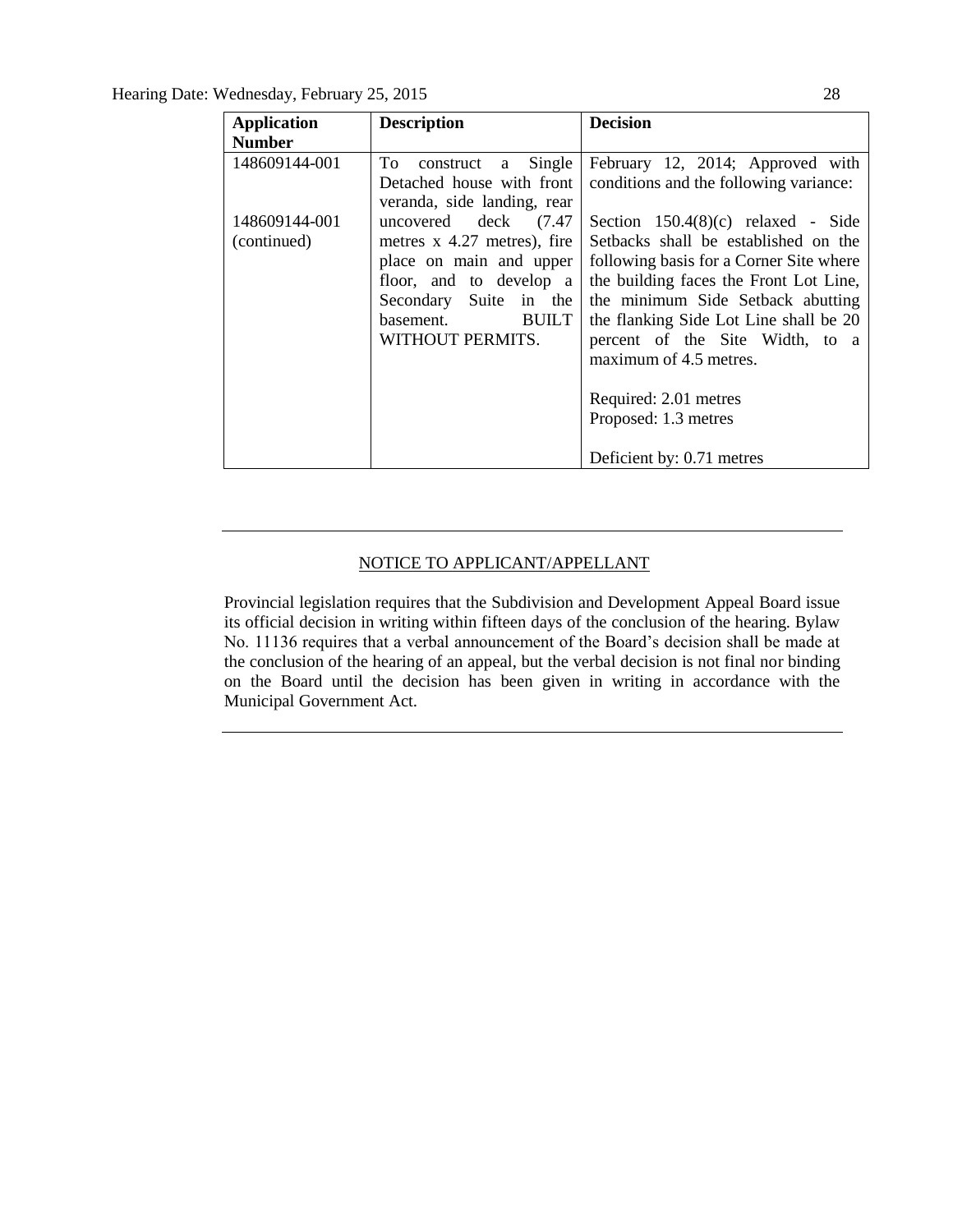Hearing Date: Wednesday, February 25, 2015 28

| <b>Application</b>           | <b>Description</b>                                                                                                                                                                    | <b>Decision</b>                                                                                                                                                                                                                                                                                                                                                |
|------------------------------|---------------------------------------------------------------------------------------------------------------------------------------------------------------------------------------|----------------------------------------------------------------------------------------------------------------------------------------------------------------------------------------------------------------------------------------------------------------------------------------------------------------------------------------------------------------|
| <b>Number</b>                |                                                                                                                                                                                       |                                                                                                                                                                                                                                                                                                                                                                |
| 148609144-001                | To construct a<br>Single<br>Detached house with front<br>veranda, side landing, rear                                                                                                  | February 12, 2014; Approved with<br>conditions and the following variance:                                                                                                                                                                                                                                                                                     |
| 148609144-001<br>(continued) | uncovered deck (7.47)<br>metres x 4.27 metres), fire<br>place on main and upper<br>floor, and to develop a<br>Secondary Suite in the<br><b>BUILT</b><br>basement.<br>WITHOUT PERMITS. | Section $150.4(8)(c)$ relaxed - Side<br>Setbacks shall be established on the<br>following basis for a Corner Site where<br>the building faces the Front Lot Line,<br>the minimum Side Setback abutting<br>the flanking Side Lot Line shall be 20<br>percent of the Site Width, to a<br>maximum of 4.5 metres.<br>Required: 2.01 metres<br>Proposed: 1.3 metres |
|                              |                                                                                                                                                                                       | Deficient by: 0.71 metres                                                                                                                                                                                                                                                                                                                                      |

## NOTICE TO APPLICANT/APPELLANT

Provincial legislation requires that the Subdivision and Development Appeal Board issue its official decision in writing within fifteen days of the conclusion of the hearing. Bylaw No. 11136 requires that a verbal announcement of the Board's decision shall be made at the conclusion of the hearing of an appeal, but the verbal decision is not final nor binding on the Board until the decision has been given in writing in accordance with the Municipal Government Act.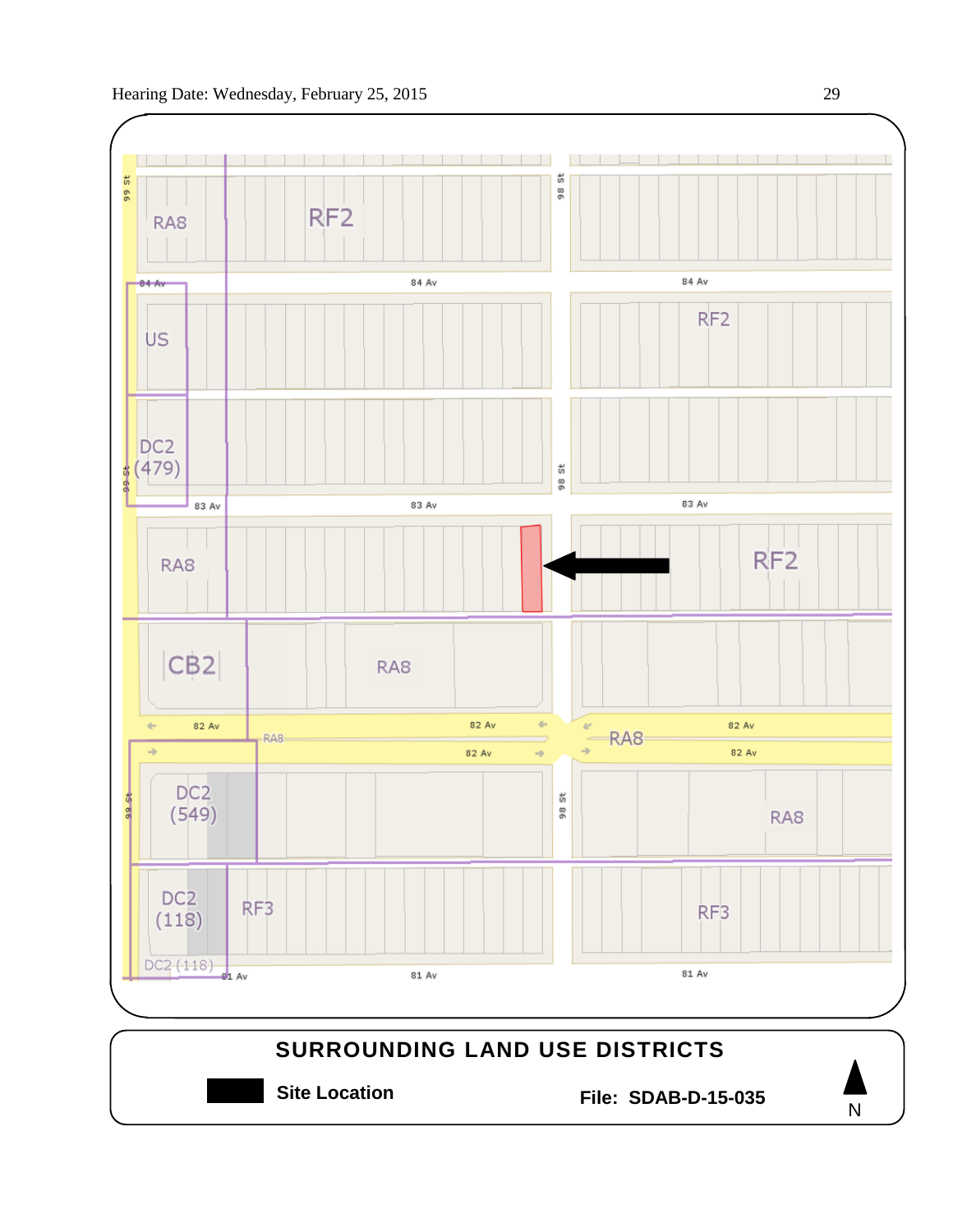